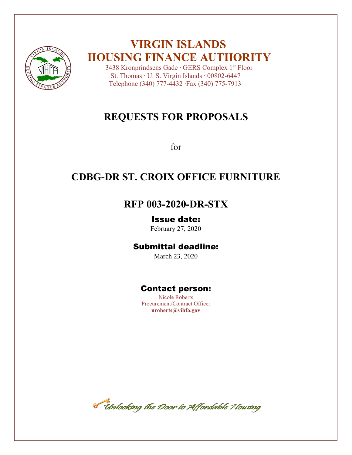

# **VIRGIN ISLANDS HOUSING FINANCE AUTHORITY**

 3438 Kronprindsens Gade ∙ GERS Complex 1st Floor St. Thomas ∙ U. S. Virgin Islands ∙ 00802-6447 Telephone (340) 777-4432 ∙Fax (340) 775-7913

# **REQUESTS FOR PROPOSALS**

for

# **CDBG-DR ST. CROIX OFFICE FURNITURE**

# **RFP 003-2020-DR-STX**

## Issue date:

February 27, 2020

# Submittal deadline:

March 23, 2020

# Contact person:

Nicole Roberts Procurement/Contract Officer **nroberts@vihfa.gov**

Timlocking the Door to Affordable Housing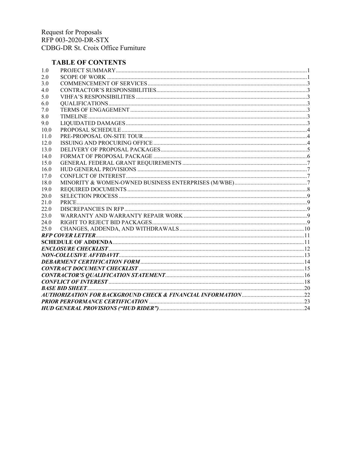### **TABLE OF CONTENTS**

| 1.0  |  |
|------|--|
| 2.0  |  |
| 3.0  |  |
| 4.0  |  |
| 5.0  |  |
| 6.0  |  |
| 7.0  |  |
| 8.0  |  |
| 9.0  |  |
| 10.0 |  |
| 11.0 |  |
| 12.0 |  |
| 13.0 |  |
| 14.0 |  |
| 15.0 |  |
| 16.0 |  |
| 17.0 |  |
| 18.0 |  |
| 19.0 |  |
| 20.0 |  |
| 21.0 |  |
| 22.0 |  |
| 23.0 |  |
| 24.0 |  |
| 25.0 |  |
|      |  |
|      |  |
|      |  |
|      |  |
|      |  |
|      |  |
|      |  |
|      |  |
|      |  |
|      |  |
|      |  |
|      |  |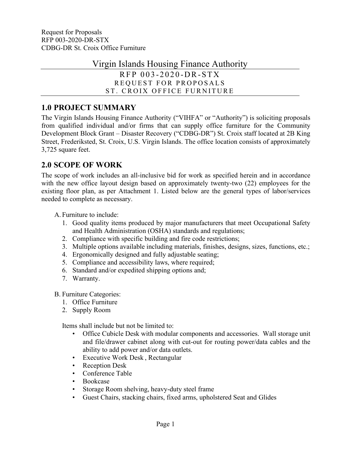Virgin Islands Housing Finance Authority

RFP 0 0 3 - 2 0 2 0 -D R-S TX REQUEST FOR PROPOSALS ST. CROIX OFFICE FURNITURE

# <span id="page-2-0"></span>**1.0 PROJECT SUMMARY**

The Virgin Islands Housing Finance Authority ("VIHFA" or "Authority") is soliciting proposals from qualified individual and/or firms that can supply office furniture for the Community Development Block Grant – Disaster Recovery ("CDBG-DR") St. Croix staff located at 2B King Street, Frederiksted, St. Croix, U.S. Virgin Islands. The office location consists of approximately 3,725 square feet.

# <span id="page-2-1"></span>**2.0 SCOPE OF WORK**

The scope of work includes an all-inclusive bid for work as specified herein and in accordance with the new office layout design based on approximately twenty-two (22) employees for the existing floor plan, as per Attachment 1. Listed below are the general types of labor/services needed to complete as necessary.

A. Furniture to include:

- 1. Good quality items produced by major manufacturers that meet Occupational Safety and Health Administration (OSHA) standards and regulations;
- 2. Compliance with specific building and fire code restrictions;
- 3. Multiple options available including materials, finishes, designs, sizes, functions, etc.;
- 4. Ergonomically designed and fully adjustable seating;
- 5. Compliance and accessibility laws, where required;
- 6. Standard and/or expedited shipping options and;
- 7. Warranty.

B. Furniture Categories:

- 1. Office Furniture
- 2. Supply Room

Items shall include but not be limited to:

- Office Cubicle Desk with modular components and accessories. Wall storage unit and file/drawer cabinet along with cut-out for routing power/data cables and the ability to add power and/or data outlets.
- Executive Work Desk , Rectangular
- Reception Desk
- Conference Table
- Bookcase
- Storage Room shelving, heavy-duty steel frame
- Guest Chairs, stacking chairs, fixed arms, upholstered Seat and Glides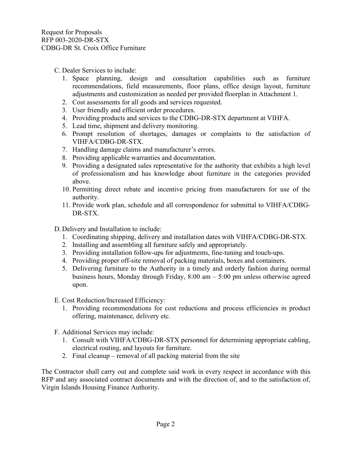- C. Dealer Services to include:
	- 1. Space planning, design and consultation capabilities such as furniture recommendations, field measurements, floor plans, office design layout, furniture adjustments and customization as needed per provided floorplan in Attachment 1.
	- 2. Cost assessments for all goods and services requested.
	- 3. User friendly and efficient order procedures.
	- 4. Providing products and services to the CDBG-DR-STX department at VIHFA.
	- 5. Lead time, shipment and delivery monitoring.
	- 6. Prompt resolution of shortages, damages or complaints to the satisfaction of VIHFA/CDBG-DR-STX.
	- 7. Handling damage claims and manufacturer's errors.
	- 8. Providing applicable warranties and documentation.
	- 9. Providing a designated sales representative for the authority that exhibits a high level of professionalism and has knowledge about furniture in the categories provided above.
	- 10. Permitting direct rebate and incentive pricing from manufacturers for use of the authority.
	- 11. Provide work plan, schedule and all correspondence for submittal to VIHFA/CDBG-DR-STX.
- D. Delivery and Installation to include:
	- 1. Coordinating shipping, delivery and installation dates with VIHFA/CDBG-DR-STX.
	- 2. Installing and assembling all furniture safely and appropriately.
	- 3. Providing installation follow-ups for adjustments, fine-tuning and touch-ups.
	- 4. Providing proper off-site removal of packing materials, boxes and containers.
	- 5. Delivering furniture to the Authority in a timely and orderly fashion during normal business hours, Monday through Friday, 8:00 am – 5:00 pm unless otherwise agreed upon.
- E. Cost Reduction/Increased Efficiency:
	- 1. Providing recommendations for cost reductions and process efficiencies in product offering, maintenance, delivery etc.
- F. Additional Services may include:
	- 1. Consult with VIHFA/CDBG-DR-STX personnel for determining appropriate cabling, electrical routing, and layouts for furniture.
	- 2. Final cleanup removal of all packing material from the site

The Contractor shall carry out and complete said work in every respect in accordance with this RFP and any associated contract documents and with the direction of, and to the satisfaction of, Virgin Islands Housing Finance Authority.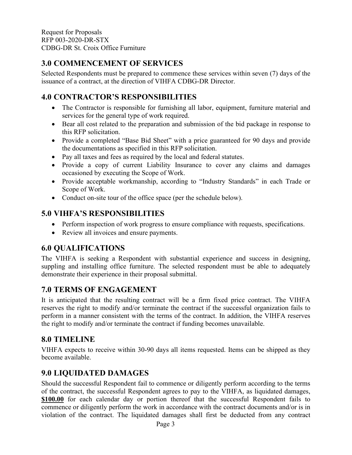# <span id="page-4-0"></span>**3.0 COMMENCEMENT OF SERVICES**

Selected Respondents must be prepared to commence these services within seven (7) days of the issuance of a contract, at the direction of VIHFA CDBG-DR Director.

# <span id="page-4-1"></span>**4.0 CONTRACTOR'S RESPONSIBILITIES**

- The Contractor is responsible for furnishing all labor, equipment, furniture material and services for the general type of work required.
- Bear all cost related to the preparation and submission of the bid package in response to this RFP solicitation.
- Provide a completed "Base Bid Sheet" with a price guaranteed for 90 days and provide the documentations as specified in this RFP solicitation.
- Pay all taxes and fees as required by the local and federal statutes.
- Provide a copy of current Liability Insurance to cover any claims and damages occasioned by executing the Scope of Work.
- Provide acceptable workmanship, according to "Industry Standards" in each Trade or Scope of Work.
- <span id="page-4-2"></span>• Conduct on-site tour of the office space (per the schedule below).

# **5.0 VIHFA'S RESPONSIBILITIES**

- Perform inspection of work progress to ensure compliance with requests, specifications.
- <span id="page-4-3"></span>• Review all invoices and ensure payments.

## **6.0 QUALIFICATIONS**

The VIHFA is seeking a Respondent with substantial experience and success in designing, suppling and installing office furniture. The selected respondent must be able to adequately demonstrate their experience in their proposal submittal.

# <span id="page-4-4"></span>**7.0 TERMS OF ENGAGEMENT**

It is anticipated that the resulting contract will be a firm fixed price contract. The VIHFA reserves the right to modify and/or terminate the contract if the successful organization fails to perform in a manner consistent with the terms of the contract. In addition, the VIHFA reserves the right to modify and/or terminate the contract if funding becomes unavailable.

# <span id="page-4-5"></span>**8.0 TIMELINE**

VIHFA expects to receive within 30-90 days all items requested. Items can be shipped as they become available.

# <span id="page-4-6"></span>**9.0 LIQUIDATED DAMAGES**

Should the successful Respondent fail to commence or diligently perform according to the terms of the contract, the successful Respondent agrees to pay to the VIHFA, as liquidated damages, **\$100.00** for each calendar day or portion thereof that the successful Respondent fails to commence or diligently perform the work in accordance with the contract documents and/or is in violation of the contract. The liquidated damages shall first be deducted from any contract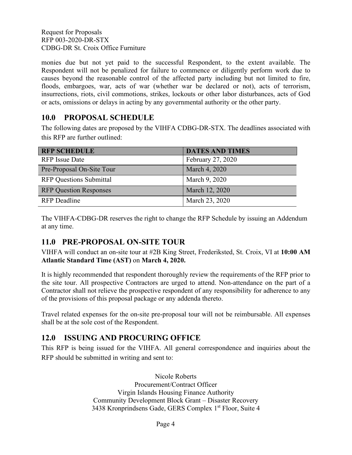monies due but not yet paid to the successful Respondent, to the extent available. The Respondent will not be penalized for failure to commence or diligently perform work due to causes beyond the reasonable control of the affected party including but not limited to fire, floods, embargoes, war, acts of war (whether war be declared or not), acts of terrorism, insurrections, riots, civil commotions, strikes, lockouts or other labor disturbances, acts of God or acts, omissions or delays in acting by any governmental authority or the other party.

# <span id="page-5-0"></span>**10.0 PROPOSAL SCHEDULE**

The following dates are proposed by the VIHFA CDBG-DR-STX. The deadlines associated with this RFP are further outlined:

| <b>RFP SCHEDULE</b>            | <b>DATES AND TIMES</b> |
|--------------------------------|------------------------|
| <b>RFP</b> Issue Date          | February 27, 2020      |
| Pre-Proposal On-Site Tour      | March 4, 2020          |
| <b>RFP Questions Submittal</b> | March 9, 2020          |
| <b>RFP Question Responses</b>  | March 12, 2020         |
| <b>RFP</b> Deadline            | March 23, 2020         |

The VIHFA-CDBG-DR reserves the right to change the RFP Schedule by issuing an Addendum at any time.

## <span id="page-5-1"></span>**11.0 PRE-PROPOSAL ON-SITE TOUR**

VIHFA will conduct an on-site tour at #2B King Street, Frederiksted, St. Croix, VI at **10:00 AM Atlantic Standard Time (AST)** on **March 4, 2020.**

It is highly recommended that respondent thoroughly review the requirements of the RFP prior to the site tour. All prospective Contractors are urged to attend. Non-attendance on the part of a Contractor shall not relieve the prospective respondent of any responsibility for adherence to any of the provisions of this proposal package or any addenda thereto.

Travel related expenses for the on-site pre-proposal tour will not be reimbursable. All expenses shall be at the sole cost of the Respondent.

# <span id="page-5-2"></span>**12.0 ISSUING AND PROCURING OFFICE**

This RFP is being issued for the VIHFA. All general correspondence and inquiries about the RFP should be submitted in writing and sent to:

> Nicole Roberts Procurement/Contract Officer Virgin Islands Housing Finance Authority Community Development Block Grant – Disaster Recovery 3438 Kronprindsens Gade, GERS Complex 1<sup>st</sup> Floor, Suite 4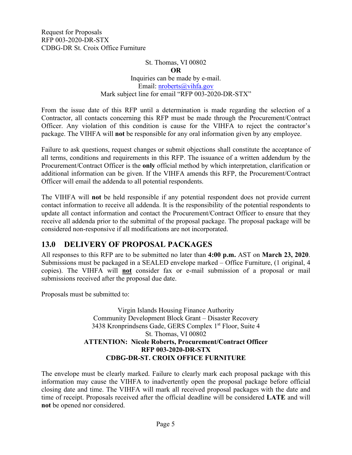### St. Thomas, VI 00802

#### **OR**

### Inquiries can be made by e-mail. Email: [nroberts@vihfa.gov](mailto:nroberts@vihfa.gov) Mark subject line for email "RFP 003-2020-DR-STX"

From the issue date of this RFP until a determination is made regarding the selection of a Contractor, all contacts concerning this RFP must be made through the Procurement/Contract Officer. Any violation of this condition is cause for the VIHFA to reject the contractor's package. The VIHFA will **not** be responsible for any oral information given by any employee.

Failure to ask questions, request changes or submit objections shall constitute the acceptance of all terms, conditions and requirements in this RFP. The issuance of a written addendum by the Procurement/Contract Officer is the **only** official method by which interpretation, clarification or additional information can be given. If the VIHFA amends this RFP, the Procurement/Contract Officer will email the addenda to all potential respondents.

The VIHFA will **not** be held responsible if any potential respondent does not provide current contact information to receive all addenda. It is the responsibility of the potential respondents to update all contact information and contact the Procurement/Contract Officer to ensure that they receive all addenda prior to the submittal of the proposal package. The proposal package will be considered non-responsive if all modifications are not incorporated.

## <span id="page-6-0"></span>**13.0 DELIVERY OF PROPOSAL PACKAGES**

All responses to this RFP are to be submitted no later than **4:00 p.m.** AST on **March 23, 2020**. Submissions must be packaged in a SEALED envelope marked – Office Furniture, (1 original, 4 copies). The VIHFA will **not** consider fax or e-mail submission of a proposal or mail submissions received after the proposal due date.

Proposals must be submitted to:

Virgin Islands Housing Finance Authority Community Development Block Grant – Disaster Recovery 3438 Kronprindsens Gade, GERS Complex 1st Floor, Suite 4 St. Thomas, VI 00802 **ATTENTION: Nicole Roberts, Procurement/Contract Officer RFP 003-2020-DR-STX CDBG-DR-ST. CROIX OFFICE FURNITURE**

The envelope must be clearly marked. Failure to clearly mark each proposal package with this information may cause the VIHFA to inadvertently open the proposal package before official closing date and time. The VIHFA will mark all received proposal packages with the date and time of receipt. Proposals received after the official deadline will be considered **LATE** and will **not** be opened nor considered.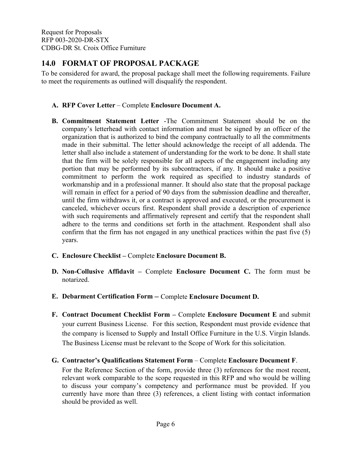## <span id="page-7-0"></span>**14.0 FORMAT OF PROPOSAL PACKAGE**

To be considered for award, the proposal package shall meet the following requirements. Failure to meet the requirements as outlined will disqualify the respondent.

### **A. RFP Cover Letter** – Complete **Enclosure Document A.**

- **B. Commitment Statement Letter** -The Commitment Statement should be on the company's letterhead with contact information and must be signed by an officer of the organization that is authorized to bind the company contractually to all the commitments made in their submittal. The letter should acknowledge the receipt of all addenda. The letter shall also include a statement of understanding for the work to be done. It shall state that the firm will be solely responsible for all aspects of the engagement including any portion that may be performed by its subcontractors, if any. It should make a positive commitment to perform the work required as specified to industry standards of workmanship and in a professional manner. It should also state that the proposal package will remain in effect for a period of 90 days from the submission deadline and thereafter, until the firm withdraws it, or a contract is approved and executed, or the procurement is canceled, whichever occurs first. Respondent shall provide a description of experience with such requirements and affirmatively represent and certify that the respondent shall adhere to the terms and conditions set forth in the attachment. Respondent shall also confirm that the firm has not engaged in any unethical practices within the past five (5) years.
- **C. Enclosure Checklist –** Complete **Enclosure Document B.**
- **D. Non-Collusive Affidavit –** Complete **Enclosure Document C.** The form must be notarized.
- **E. Debarment Certification Form –** Complete **Enclosure Document D.**
- **F. Contract Document Checklist Form –** Complete **Enclosure Document E** and submit your current Business License. For this section, Respondent must provide evidence that the company is licensed to Supply and Install Office Furniture in the U.S. Virgin Islands. The Business License must be relevant to the Scope of Work for this solicitation.
- **G. Contractor's Qualifications Statement Form** Complete **Enclosure Document F**.

For the Reference Section of the form, provide three (3) references for the most recent, relevant work comparable to the scope requested in this RFP and who would be willing to discuss your company's competency and performance must be provided. If you currently have more than three (3) references, a client listing with contact information should be provided as well.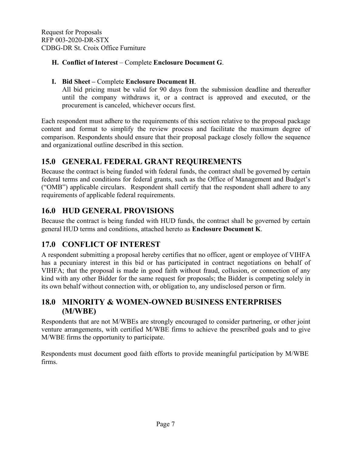### **H. Conflict of Interest** – Complete **Enclosure Document G**.

### **I. Bid Sheet –** Complete **Enclosure Document H**.

All bid pricing must be valid for 90 days from the submission deadline and thereafter until the company withdraws it, or a contract is approved and executed, or the procurement is canceled, whichever occurs first.

Each respondent must adhere to the requirements of this section relative to the proposal package content and format to simplify the review process and facilitate the maximum degree of comparison. Respondents should ensure that their proposal package closely follow the sequence and organizational outline described in this section.

# <span id="page-8-0"></span>**15.0 GENERAL FEDERAL GRANT REQUIREMENTS**

Because the contract is being funded with federal funds, the contract shall be governed by certain federal terms and conditions for federal grants, such as the Office of Management and Budget's ("OMB") applicable circulars. Respondent shall certify that the respondent shall adhere to any requirements of applicable federal requirements.

# <span id="page-8-1"></span>**16.0 HUD GENERAL PROVISIONS**

Because the contract is being funded with HUD funds, the contract shall be governed by certain general HUD terms and conditions, attached hereto as **Enclosure Document K**.

# <span id="page-8-2"></span>**17.0 CONFLICT OF INTEREST**

A respondent submitting a proposal hereby certifies that no officer, agent or employee of VIHFA has a pecuniary interest in this bid or has participated in contract negotiations on behalf of VIHFA; that the proposal is made in good faith without fraud, collusion, or connection of any kind with any other Bidder for the same request for proposals; the Bidder is competing solely in its own behalf without connection with, or obligation to, any undisclosed person or firm.

## <span id="page-8-3"></span>**18.0 MINORITY & WOMEN-OWNED BUSINESS ENTERPRISES (M/WBE)**

Respondents that are not M/WBEs are strongly encouraged to consider partnering, or other joint venture arrangements, with certified M/WBE firms to achieve the prescribed goals and to give M/WBE firms the opportunity to participate.

<span id="page-8-4"></span>Respondents must document good faith efforts [t](http://www.ogs.ny.gov/BU/DC/Docs/PDF/GoodFaithEfforts143Point8.pdf)o provide meaningful participation by M/WBE firms.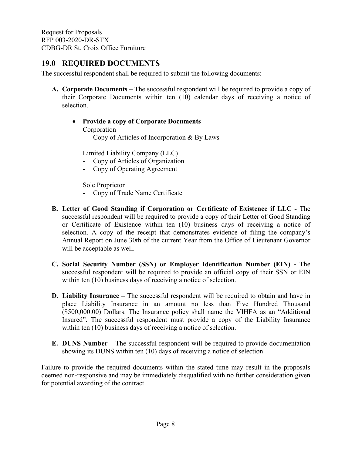## **19.0 REQUIRED DOCUMENTS**

The successful respondent shall be required to submit the following documents:

- **A. Corporate Documents** The successful respondent will be required to provide a copy of their Corporate Documents within ten (10) calendar days of receiving a notice of selection.
	- **Provide a copy of Corporate Documents** Corporation
		- Copy of Articles of Incorporation & By Laws

Limited Liability Company (LLC)

- Copy of Articles of Organization
- Copy of Operating Agreement

Sole Proprietor

- Copy of Trade Name Certificate
- **B. Letter of Good Standing if Corporation or Certificate of Existence if LLC -** The successful respondent will be required to provide a copy of their Letter of Good Standing or Certificate of Existence within ten (10) business days of receiving a notice of selection. A copy of the receipt that demonstrates evidence of filing the company's Annual Report on June 30th of the current Year from the Office of Lieutenant Governor will be acceptable as well.
- **C. Social Security Number (SSN) or Employer Identification Number (EIN) -** The successful respondent will be required to provide an official copy of their SSN or EIN within ten (10) business days of receiving a notice of selection.
- **D. Liability Insurance –** The successful respondent will be required to obtain and have in place Liability Insurance in an amount no less than Five Hundred Thousand (\$500,000.00) Dollars. The Insurance policy shall name the VIHFA as an "Additional Insured". The successful respondent must provide a copy of the Liability Insurance within ten (10) business days of receiving a notice of selection.
- **E. DUNS Number** The successful respondent will be required to provide documentation showing its DUNS within ten (10) days of receiving a notice of selection.

Failure to provide the required documents within the stated time may result in the proposals deemed non-responsive and may be immediately disqualified with no further consideration given for potential awarding of the contract.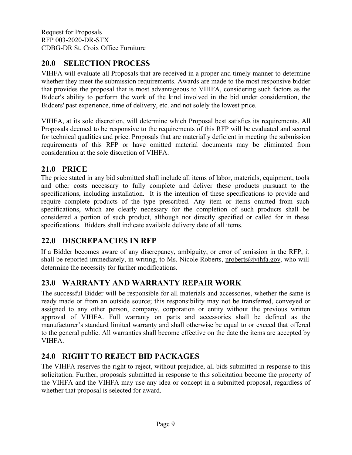# <span id="page-10-0"></span>**20.0 SELECTION PROCESS**

VIHFA will evaluate all Proposals that are received in a proper and timely manner to determine whether they meet the submission requirements. Awards are made to the most responsive bidder that provides the proposal that is most advantageous to VIHFA, considering such factors as the Bidder's ability to perform the work of the kind involved in the bid under consideration, the Bidders' past experience, time of delivery, etc. and not solely the lowest price.

VIHFA, at its sole discretion, will determine which Proposal best satisfies its requirements. All Proposals deemed to be responsive to the requirements of this RFP will be evaluated and scored for technical qualities and price. Proposals that are materially deficient in meeting the submission requirements of this RFP or have omitted material documents may be eliminated from consideration at the sole discretion of VIHFA.

## <span id="page-10-1"></span>**21.0 PRICE**

The price stated in any bid submitted shall include all items of labor, materials, equipment, tools and other costs necessary to fully complete and deliver these products pursuant to the specifications, including installation. It is the intention of these specifications to provide and require complete products of the type prescribed. Any item or items omitted from such specifications, which are clearly necessary for the completion of such products shall be considered a portion of such product, although not directly specified or called for in these specifications. Bidders shall indicate available delivery date of all items.

# <span id="page-10-2"></span>**22.0 DISCREPANCIES IN RFP**

If a Bidder becomes aware of any discrepancy, ambiguity, or error of omission in the RFP, it shall be reported immediately, in writing, to Ms. Nicole Roberts, nroberts@vihfa.gov, who will determine the necessity for further modifications.

# <span id="page-10-3"></span>**23.0 WARRANTY AND WARRANTY REPAIR WORK**

The successful Bidder will be responsible for all materials and accessories, whether the same is ready made or from an outside source; this responsibility may not be transferred, conveyed or assigned to any other person, company, corporation or entity without the previous written approval of VIHFA. Full warranty on parts and accessories shall be defined as the manufacturer's standard limited warranty and shall otherwise be equal to or exceed that offered to the general public. All warranties shall become effective on the date the items are accepted by VIHFA.

# <span id="page-10-4"></span>**24.0 RIGHT TO REJECT BID PACKAGES**

The VIHFA reserves the right to reject, without prejudice, all bids submitted in response to this solicitation. Further, proposals submitted in response to this solicitation become the property of the VIHFA and the VIHFA may use any idea or concept in a submitted proposal, regardless of whether that proposal is selected for award.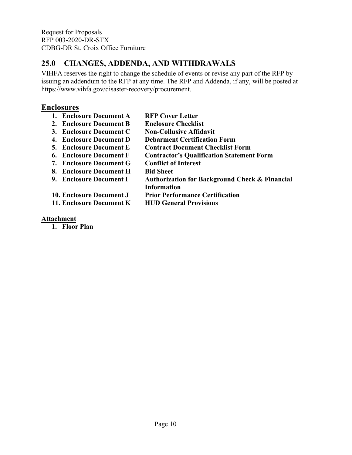# <span id="page-11-0"></span>**25.0 CHANGES, ADDENDA, AND WITHDRAWALS**

VIHFA reserves the right to change the schedule of events or revise any part of the RFP by issuing an addendum to the RFP at any time. The RFP and Addenda, if any, will be posted at https://www.vihfa.gov/disaster-recovery/procurement.

## **Enclosures**

| 1. Enclosure Document A        | <b>RFP Cover Letter</b>                                   |
|--------------------------------|-----------------------------------------------------------|
| 2. Enclosure Document B        | <b>Enclosure Checklist</b>                                |
| 3. Enclosure Document C        | <b>Non-Collusive Affidavit</b>                            |
| 4. Enclosure Document D        | <b>Debarment Certification Form</b>                       |
| <b>5. Enclosure Document E</b> | <b>Contract Document Checklist Form</b>                   |
| 6. Enclosure Document F        | <b>Contractor's Qualification Statement Form</b>          |
| 7. Enclosure Document G        | <b>Conflict of Interest</b>                               |
| 8. Enclosure Document H        | <b>Bid Sheet</b>                                          |
| 9. Enclosure Document I        | <b>Authorization for Background Check &amp; Financial</b> |
|                                | Information                                               |
| 10. Enclosure Document J       | <b>Prior Performance Certification</b>                    |
| 11. Enclosure Document K       | <b>HUD General Provisions</b>                             |

### **Attachment**

**1. Floor Plan**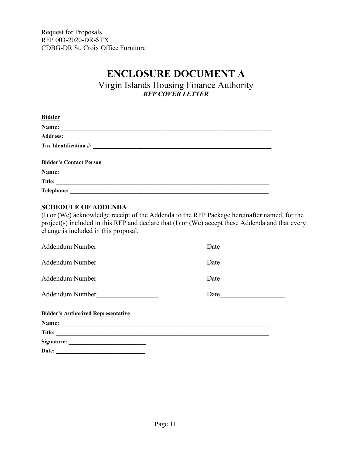# **ENCLOSURE DOCUMENT A**

Virgin Islands Housing Finance Authority *RFP COVER LETTER*

<span id="page-12-0"></span>

| <b>Bidder</b>                                                                                                  |  |
|----------------------------------------------------------------------------------------------------------------|--|
|                                                                                                                |  |
|                                                                                                                |  |
|                                                                                                                |  |
| <b>Bidder's Contact Person</b>                                                                                 |  |
| Name:                                                                                                          |  |
| Title:                                                                                                         |  |
| <b>Telephone:</b><br>the control of the control of the control of the control of the control of the control of |  |

### <span id="page-12-1"></span>**SCHEDULE OF ADDENDA**

(I) or (We) acknowledge receipt of the Addenda to the RFP Package hereinafter named, for the project(s) included in this RFP and declare that (I) or (We) accept these Addenda and that every change is included in this proposal.

| Addendum Number                                                                      | Date                                                                                                                           |  |  |  |  |
|--------------------------------------------------------------------------------------|--------------------------------------------------------------------------------------------------------------------------------|--|--|--|--|
| Addendum Number                                                                      | Date                                                                                                                           |  |  |  |  |
| Addendum Number<br><u> 1980 - Andrea Station Books, amerikansk politik (d. 1980)</u> | Date                                                                                                                           |  |  |  |  |
| Addendum Number                                                                      | Date<br><u> 1989 - Johann John Stein, mars and de British and de British and de British and de British and de British and </u> |  |  |  |  |
| <b>Bidder's Authorized Representative</b>                                            |                                                                                                                                |  |  |  |  |
|                                                                                      |                                                                                                                                |  |  |  |  |
| Title:                                                                               |                                                                                                                                |  |  |  |  |
|                                                                                      |                                                                                                                                |  |  |  |  |
|                                                                                      |                                                                                                                                |  |  |  |  |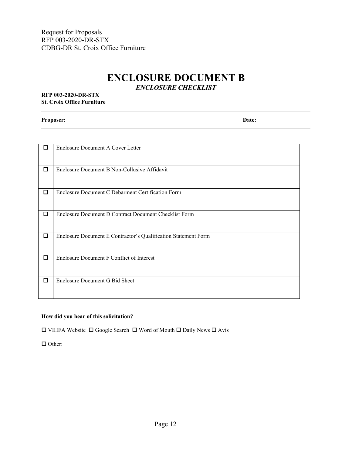# **ENCLOSURE DOCUMENT B**

*ENCLOSURE CHECKLIST*

### <span id="page-13-0"></span>**RFP 003-2020-DR-STX St. Croix Office Furniture**

**Proposer: Date:**

| П      | <b>Enclosure Document A Cover Letter</b>                       |
|--------|----------------------------------------------------------------|
| $\Box$ | Enclosure Document B Non-Collusive Affidavit                   |
| $\Box$ | Enclosure Document C Debarment Certification Form              |
| $\Box$ | Enclosure Document D Contract Document Checklist Form          |
| ◻      | Enclosure Document E Contractor's Qualification Statement Form |
| $\Box$ | Enclosure Document F Conflict of Interest                      |
| $\Box$ | Enclosure Document G Bid Sheet                                 |

### **How did you hear of this solicitation?**

 $\square$  VIHFA Website  $\square$  Google Search  $\square$  Word of Mouth  $\square$  Daily News  $\square$  Avis

Other: \_\_\_\_\_\_\_\_\_\_\_\_\_\_\_\_\_\_\_\_\_\_\_\_\_\_\_\_\_\_\_\_\_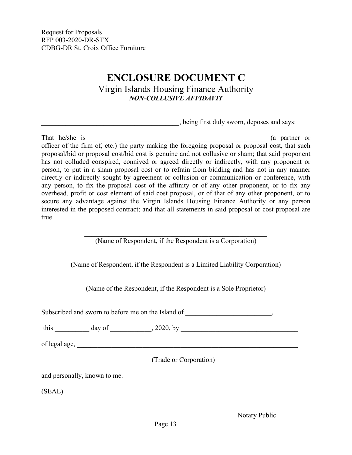# **ENCLOSURE DOCUMENT C** Virgin Islands Housing Finance Authority *NON-COLLUSIVE AFFIDAVIT*

\_\_\_\_\_\_\_\_\_\_\_\_\_\_\_\_\_\_\_\_\_\_\_\_\_\_\_\_\_\_\_\_\_\_\_\_\_\_\_\_, being first duly sworn, deposes and says:

<span id="page-14-0"></span>That he/she is  $\qquad \qquad$  (a partner or officer of the firm of, etc.) the party making the foregoing proposal or proposal cost, that such proposal/bid or proposal cost/bid cost is genuine and not collusive or sham; that said proponent has not colluded conspired, connived or agreed directly or indirectly, with any proponent or person, to put in a sham proposal cost or to refrain from bidding and has not in any manner directly or indirectly sought by agreement or collusion or communication or conference, with any person, to fix the proposal cost of the affinity or of any other proponent, or to fix any overhead, profit or cost element of said cost proposal, or of that of any other proponent, or to secure any advantage against the Virgin Islands Housing Finance Authority or any person interested in the proposed contract; and that all statements in said proposal or cost proposal are true.

(Name of Respondent, if the Respondent is a Corporation)

\_\_\_\_\_\_\_\_\_\_\_\_\_\_\_\_\_\_\_\_\_\_\_\_\_\_\_\_\_\_\_\_\_\_\_\_\_\_\_\_\_\_\_\_\_\_\_\_\_\_\_\_\_\_ (Name of Respondent, if the Respondent is a Limited Liability Corporation)

\_\_\_\_\_\_\_\_\_\_\_\_\_\_\_\_\_\_\_\_\_\_\_\_\_\_\_\_\_\_\_\_\_\_\_\_\_\_\_\_\_\_\_\_\_\_\_\_\_\_\_\_\_\_ (Name of the Respondent, if the Respondent is a Sole Proprietor)

Subscribed and sworn to before me on the Island of \_\_\_\_\_\_\_\_\_\_\_\_\_\_\_\_\_\_\_\_\_\_,

this \_\_\_\_\_\_\_\_\_\_ day of \_\_\_\_\_\_\_\_\_\_\_\_, 2020, by \_\_\_\_\_\_\_\_\_\_\_\_\_\_\_\_\_\_\_\_\_\_\_\_\_\_\_\_\_\_\_\_\_\_

of legal age,

(Trade or Corporation)

and personally, known to me.

(SEAL)

Notary Public

 $\mathcal{L}_\mathcal{L}$  , which is a set of the set of the set of the set of the set of the set of the set of the set of the set of the set of the set of the set of the set of the set of the set of the set of the set of the set of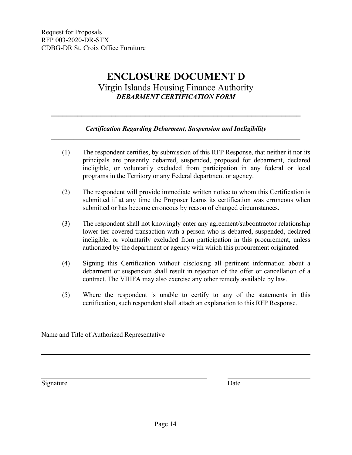# **ENCLOSURE DOCUMENT D** Virgin Islands Housing Finance Authority *DEBARMENT CERTIFICATION FORM*

### *Certification Regarding Debarment, Suspension and Ineligibility \_\_\_\_\_\_\_\_\_\_\_\_\_\_\_\_\_\_\_\_\_\_\_\_\_\_\_\_\_\_\_\_\_\_\_\_\_\_\_\_\_\_\_\_\_\_\_\_\_\_\_\_\_\_\_\_\_\_\_\_\_\_\_\_\_\_*

<span id="page-15-0"></span>*\_\_\_\_\_\_\_\_\_\_\_\_\_\_\_\_\_\_\_\_\_\_\_\_\_\_\_\_\_\_\_\_\_\_\_\_\_\_\_\_\_\_\_\_\_\_\_\_\_\_\_\_\_\_\_\_\_\_\_\_\_\_\_\_\_\_*

- (1) The respondent certifies, by submission of this RFP Response, that neither it nor its principals are presently debarred, suspended, proposed for debarment, declared ineligible, or voluntarily excluded from participation in any federal or local programs in the Territory or any Federal department or agency.
- (2) The respondent will provide immediate written notice to whom this Certification is submitted if at any time the Proposer learns its certification was erroneous when submitted or has become erroneous by reason of changed circumstances.
- (3) The respondent shall not knowingly enter any agreement/subcontractor relationship lower tier covered transaction with a person who is debarred, suspended, declared ineligible, or voluntarily excluded from participation in this procurement, unless authorized by the department or agency with which this procurement originated.
- (4) Signing this Certification without disclosing all pertinent information about a debarment or suspension shall result in rejection of the offer or cancellation of a contract. The VIHFA may also exercise any other remedy available by law.
- (5) Where the respondent is unable to certify to any of the statements in this certification, such respondent shall attach an explanation to this RFP Response.

Name and Title of Authorized Representative

Signature Date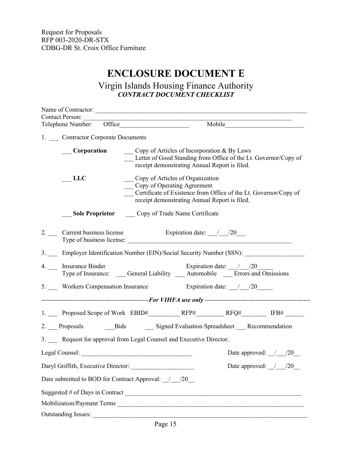# **ENCLOSURE DOCUMENT E**

### Virgin Islands Housing Finance Authority *CONTRACT DOCUMENT CHECKLIST*

<span id="page-16-0"></span>

| <b>Contact Person:</b>                                                |                                                                                                                                                                                         |  |  |  |  |  |  |
|-----------------------------------------------------------------------|-----------------------------------------------------------------------------------------------------------------------------------------------------------------------------------------|--|--|--|--|--|--|
| Telephone Number: Office                                              |                                                                                                                                                                                         |  |  |  |  |  |  |
| 1. Contractor Corporate Documents                                     |                                                                                                                                                                                         |  |  |  |  |  |  |
| <b>Corporation</b>                                                    | __ Copy of Articles of Incorporation & By Laws<br>Letter of Good Standing from Office of the Lt. Governor/Copy of<br>receipt demonstrating Annual Report is filed.                      |  |  |  |  |  |  |
| <b>LLC</b>                                                            | __ Copy of Articles of Organization<br>Copy of Operating Agreement<br>Certificate of Existence from Office of the Lt. Governor/Copy of<br>receipt demonstrating Annual Report is filed. |  |  |  |  |  |  |
|                                                                       | <b>Sole Proprietor</b> Copy of Trade Name Certificate                                                                                                                                   |  |  |  |  |  |  |
|                                                                       | 2. Current business license Expiration date: 1.00                                                                                                                                       |  |  |  |  |  |  |
| 3. Employer Identification Number (EIN)/Social Security Number (SSN): |                                                                                                                                                                                         |  |  |  |  |  |  |
| 4. __ Insurance Binder                                                | Expiration date: $/ 20$<br>Type of Insurance: _____ General Liability _____ Automobile ______Errors and Omissions                                                                       |  |  |  |  |  |  |
|                                                                       | 5. Workers Compensation Insurance Expiration date: 120                                                                                                                                  |  |  |  |  |  |  |
|                                                                       |                                                                                                                                                                                         |  |  |  |  |  |  |
|                                                                       |                                                                                                                                                                                         |  |  |  |  |  |  |
|                                                                       | 2. Proposals Bids Bigned Evaluation Spreadsheet Recommendation                                                                                                                          |  |  |  |  |  |  |
|                                                                       | 3. Request for approval from Legal Counsel and Executive Director.                                                                                                                      |  |  |  |  |  |  |
|                                                                       | Date approved: $/20$                                                                                                                                                                    |  |  |  |  |  |  |
|                                                                       | Daryl Griffith, Executive Director:<br>Date approved: $\frac{1}{20}$                                                                                                                    |  |  |  |  |  |  |
|                                                                       | Date submitted to BOD for Contract Approval: / / /20                                                                                                                                    |  |  |  |  |  |  |
|                                                                       |                                                                                                                                                                                         |  |  |  |  |  |  |
|                                                                       |                                                                                                                                                                                         |  |  |  |  |  |  |
| <b>Outstanding Issues:</b>                                            |                                                                                                                                                                                         |  |  |  |  |  |  |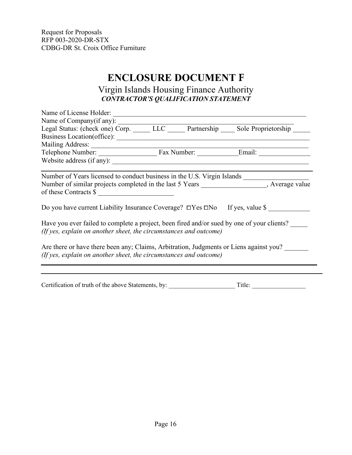# **ENCLOSURE DOCUMENT F**

## Virgin Islands Housing Finance Authority *CONTRACTOR'S QUALIFICATION STATEMENT*

<span id="page-17-0"></span>

| Name of License Holder:                                                                                                                                         |  |  |
|-----------------------------------------------------------------------------------------------------------------------------------------------------------------|--|--|
| Name of Company(if any):                                                                                                                                        |  |  |
| Legal Status: (check one) Corp. LLC Partnership Sole Proprietorship                                                                                             |  |  |
|                                                                                                                                                                 |  |  |
|                                                                                                                                                                 |  |  |
| Telephone Number: Fax Number: Email: Email:                                                                                                                     |  |  |
| Website address (if any):                                                                                                                                       |  |  |
| Number of Years licensed to conduct business in the U.S. Virgin Islands                                                                                         |  |  |
| Number of similar projects completed in the last 5 Years __________________, Average value<br>of these Contracts \$                                             |  |  |
| Do you have current Liability Insurance Coverage? $\Box$ Yes $\Box$ No If yes, value \$                                                                         |  |  |
| Have you ever failed to complete a project, been fired and/or sued by one of your clients?<br>(If yes, explain on another sheet, the circumstances and outcome) |  |  |
| Are there or have there been any; Claims, Arbitration, Judgments or Liens against you?<br>(If yes, explain on another sheet, the circumstances and outcome)     |  |  |
|                                                                                                                                                                 |  |  |

Certification of truth of the above Statements, by: \_\_\_\_\_\_\_\_\_\_\_\_\_\_\_\_\_\_\_\_\_ Title: \_\_\_\_\_\_\_\_\_\_\_\_\_\_\_\_\_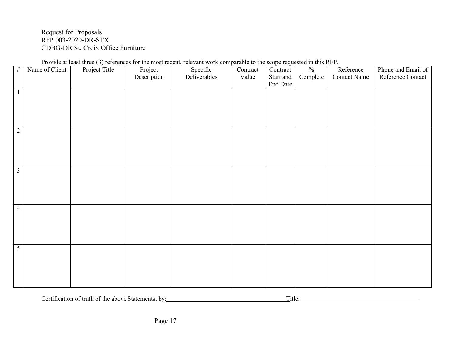|                         | Provide at least three (3) references for the most recent, relevant work comparable to the scope requested in this RFP. |               |             |              |          |           |                          |                     |                    |
|-------------------------|-------------------------------------------------------------------------------------------------------------------------|---------------|-------------|--------------|----------|-----------|--------------------------|---------------------|--------------------|
| $\#$                    | Name of Client                                                                                                          | Project Title | Project     | Specific     | Contract | Contract  | $\overline{\frac{0}{0}}$ | Reference           | Phone and Email of |
|                         |                                                                                                                         |               | Description | Deliverables | Value    | Start and | Complete                 | <b>Contact Name</b> | Reference Contact  |
|                         |                                                                                                                         |               |             |              |          | End Date  |                          |                     |                    |
| $\overline{1}$          |                                                                                                                         |               |             |              |          |           |                          |                     |                    |
|                         |                                                                                                                         |               |             |              |          |           |                          |                     |                    |
|                         |                                                                                                                         |               |             |              |          |           |                          |                     |                    |
|                         |                                                                                                                         |               |             |              |          |           |                          |                     |                    |
|                         |                                                                                                                         |               |             |              |          |           |                          |                     |                    |
|                         |                                                                                                                         |               |             |              |          |           |                          |                     |                    |
| $\overline{2}$          |                                                                                                                         |               |             |              |          |           |                          |                     |                    |
|                         |                                                                                                                         |               |             |              |          |           |                          |                     |                    |
|                         |                                                                                                                         |               |             |              |          |           |                          |                     |                    |
|                         |                                                                                                                         |               |             |              |          |           |                          |                     |                    |
|                         |                                                                                                                         |               |             |              |          |           |                          |                     |                    |
| $\overline{\mathbf{3}}$ |                                                                                                                         |               |             |              |          |           |                          |                     |                    |
|                         |                                                                                                                         |               |             |              |          |           |                          |                     |                    |
|                         |                                                                                                                         |               |             |              |          |           |                          |                     |                    |
|                         |                                                                                                                         |               |             |              |          |           |                          |                     |                    |
|                         |                                                                                                                         |               |             |              |          |           |                          |                     |                    |
|                         |                                                                                                                         |               |             |              |          |           |                          |                     |                    |
| $\overline{4}$          |                                                                                                                         |               |             |              |          |           |                          |                     |                    |
|                         |                                                                                                                         |               |             |              |          |           |                          |                     |                    |
|                         |                                                                                                                         |               |             |              |          |           |                          |                     |                    |
|                         |                                                                                                                         |               |             |              |          |           |                          |                     |                    |
|                         |                                                                                                                         |               |             |              |          |           |                          |                     |                    |
|                         |                                                                                                                         |               |             |              |          |           |                          |                     |                    |
| $\overline{5}$          |                                                                                                                         |               |             |              |          |           |                          |                     |                    |
|                         |                                                                                                                         |               |             |              |          |           |                          |                     |                    |
|                         |                                                                                                                         |               |             |              |          |           |                          |                     |                    |
|                         |                                                                                                                         |               |             |              |          |           |                          |                     |                    |
|                         |                                                                                                                         |               |             |              |          |           |                          |                     |                    |
|                         |                                                                                                                         |               |             |              |          |           |                          |                     |                    |

Provide at least three (3) references for the most recent, relevant work comparable to the scope requested in this RFP.

Certification of truth of the above Statements, by: Title: Title: Title: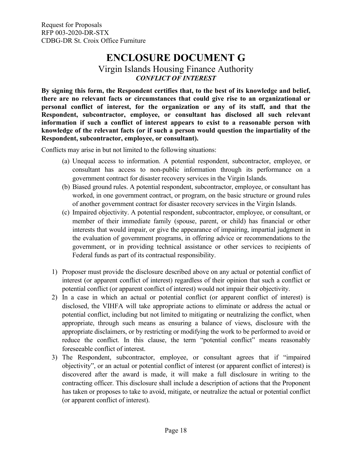# **ENCLOSURE DOCUMENT G**

## Virgin Islands Housing Finance Authority *CONFLICT OF INTEREST*

<span id="page-19-0"></span>**By signing this form, the Respondent certifies that, to the best of its knowledge and belief, there are no relevant facts or circumstances that could give rise to an organizational or personal conflict of interest, for the organization or any of its staff, and that the Respondent, subcontractor, employee, or consultant has disclosed all such relevant information if such a conflict of interest appears to exist to a reasonable person with knowledge of the relevant facts (or if such a person would question the impartiality of the Respondent, subcontractor, employee, or consultant).**

Conflicts may arise in but not limited to the following situations:

- (a) Unequal access to information. A potential respondent, subcontractor, employee, or consultant has access to non-public information through its performance on a government contract for disaster recovery services in the Virgin Islands.
- (b) Biased ground rules. A potential respondent, subcontractor, employee, or consultant has worked, in one government contract, or program, on the basic structure or ground rules of another government contract for disaster recovery services in the Virgin Islands.
- (c) Impaired objectivity. A potential respondent, subcontractor, employee, or consultant, or member of their immediate family (spouse, parent, or child) has financial or other interests that would impair, or give the appearance of impairing, impartial judgment in the evaluation of government programs, in offering advice or recommendations to the government, or in providing technical assistance or other services to recipients of Federal funds as part of its contractual responsibility.
- 1) Proposer must provide the disclosure described above on any actual or potential conflict of interest (or apparent conflict of interest) regardless of their opinion that such a conflict or potential conflict (or apparent conflict of interest) would not impair their objectivity.
- 2) In a case in which an actual or potential conflict (or apparent conflict of interest) is disclosed, the VIHFA will take appropriate actions to eliminate or address the actual or potential conflict, including but not limited to mitigating or neutralizing the conflict, when appropriate, through such means as ensuring a balance of views, disclosure with the appropriate disclaimers, or by restricting or modifying the work to be performed to avoid or reduce the conflict. In this clause, the term "potential conflict" means reasonably foreseeable conflict of interest.
- 3) The Respondent, subcontractor, employee, or consultant agrees that if "impaired objectivity", or an actual or potential conflict of interest (or apparent conflict of interest) is discovered after the award is made, it will make a full disclosure in writing to the contracting officer. This disclosure shall include a description of actions that the Proponent has taken or proposes to take to avoid, mitigate, or neutralize the actual or potential conflict (or apparent conflict of interest).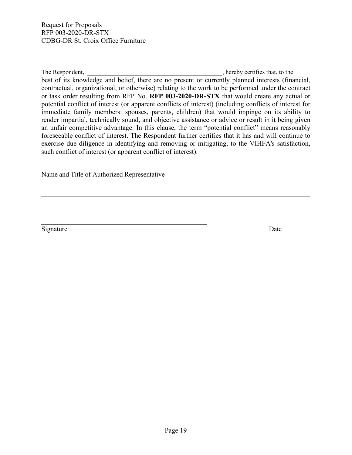The Respondent,  $\blacksquare$ , hereby certifies that, to the  $\blacksquare$ best of its knowledge and belief, there are no present or currently planned interests (financial, contractual, organizational, or otherwise) relating to the work to be performed under the contract or task order resulting from RFP No. **RFP 003-2020-DR-STX** that would create any actual or potential conflict of interest (or apparent conflicts of interest) (including conflicts of interest for immediate family members: spouses, parents, children) that would impinge on its ability to render impartial, technically sound, and objective assistance or advice or result in it being given an unfair competitive advantage. In this clause, the term "potential conflict" means reasonably foreseeable conflict of interest. The Respondent further certifies that it has and will continue to exercise due diligence in identifying and removing or mitigating, to the VIHFA's satisfaction, such conflict of interest (or apparent conflict of interest).

Name and Title of Authorized Representative

Signature Date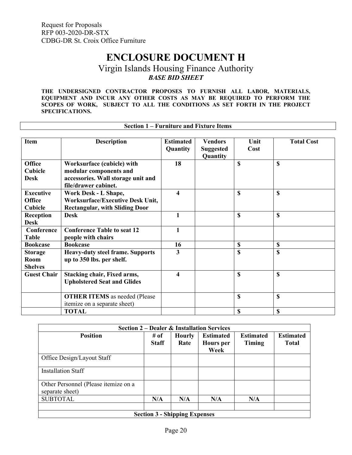ा

# **ENCLOSURE DOCUMENT H**

## Virgin Islands Housing Finance Authority *BASE BID SHEET*

<span id="page-21-0"></span>**THE UNDERSIGNED CONTRACTOR PROPOSES TO FURNISH ALL LABOR, MATERIALS, EQUIPMENT AND INCUR ANY OTHER COSTS AS MAY BE REQUIRED TO PERFORM THE SCOPES OF WORK, SUBJECT TO ALL THE CONDITIONS AS SET FORTH IN THE PROJECT SPECIFICATIONS.**

|                                                     | <b>Section 1 – Furniture and Fixture Items</b>                                                                     |                              |                                                |              |                   |
|-----------------------------------------------------|--------------------------------------------------------------------------------------------------------------------|------------------------------|------------------------------------------------|--------------|-------------------|
| <b>Item</b>                                         | <b>Description</b>                                                                                                 | <b>Estimated</b><br>Quantity | <b>Vendors</b><br><b>Suggested</b><br>Quantity | Unit<br>Cost | <b>Total Cost</b> |
| Office<br><b>Cubicle</b><br><b>Desk</b>             | Worksurface (cubicle) with<br>modular components and<br>accessories. Wall storage unit and<br>file/drawer cabinet. | 18                           |                                                | $\mathbb{S}$ | $\mathbb{S}$      |
| <b>Executive</b><br><b>Office</b><br><b>Cubicle</b> | Work Desk - L Shape,<br><b>Worksurface/Executive Desk Unit,</b><br><b>Rectangular, with Sliding Door</b>           | 4                            |                                                | $\mathbb{S}$ | $\mathbf S$       |
| Reception<br><b>Desk</b>                            | <b>Desk</b>                                                                                                        | 1                            |                                                | $\mathbf S$  | $\mathbf S$       |
| Conference<br><b>Table</b>                          | <b>Conference Table to seat 12</b><br>people with chairs                                                           | 1                            |                                                |              |                   |
| <b>Bookcase</b>                                     | <b>Bookcase</b>                                                                                                    | 16                           |                                                | \$           | $\mathbf S$       |
| <b>Storage</b><br><b>Room</b><br><b>Shelves</b>     | <b>Heavy-duty steel frame. Supports</b><br>up to 350 lbs. per shelf.                                               | 3                            |                                                | $\mathbb{S}$ | $\mathbb{S}$      |
| <b>Guest Chair</b>                                  | <b>Stacking chair, Fixed arms,</b><br><b>Upholstered Seat and Glides</b>                                           | 4                            |                                                | \$           | \$                |
|                                                     | <b>OTHER ITEMS</b> as needed (Please<br>itemize on a separate sheet)                                               |                              |                                                | $\mathbb{S}$ | $\mathbb{S}$      |
|                                                     | <b>TOTAL</b>                                                                                                       |                              |                                                | $\mathbf S$  | $\mathbf S$       |

| <b>Section 2 – Dealer &amp; Installation Services</b>   |                      |                                      |                                       |                            |                                  |  |  |  |
|---------------------------------------------------------|----------------------|--------------------------------------|---------------------------------------|----------------------------|----------------------------------|--|--|--|
| <b>Position</b>                                         | # of<br><b>Staff</b> | <b>Hourly</b><br>Rate                | <b>Estimated</b><br>Hours per<br>Week | <b>Estimated</b><br>Timing | <b>Estimated</b><br><b>Total</b> |  |  |  |
| Office Design/Layout Staff                              |                      |                                      |                                       |                            |                                  |  |  |  |
| Installation Staff                                      |                      |                                      |                                       |                            |                                  |  |  |  |
| Other Personnel (Please itemize on a<br>separate sheet) |                      |                                      |                                       |                            |                                  |  |  |  |
| <b>SUBTOTAL</b>                                         | N/A                  | N/A                                  | N/A                                   | N/A                        |                                  |  |  |  |
|                                                         |                      | <b>Section 3 - Shipping Expenses</b> |                                       |                            |                                  |  |  |  |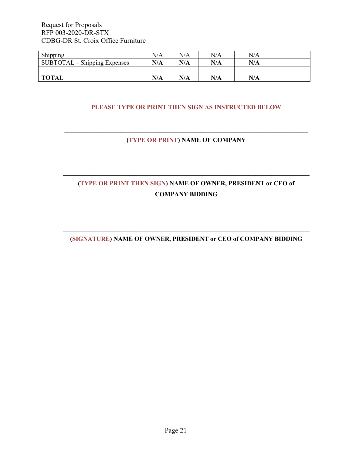| Shipping                       | N/A | N/A | N/A | N/A |  |
|--------------------------------|-----|-----|-----|-----|--|
| $SUBTOTAL - Shipping$ Expenses | N/A | N/A | N/A | N/A |  |
|                                |     |     |     |     |  |
| <b>TOTAL</b>                   | N/A | N/A | N/A | N/A |  |

### **PLEASE TYPE OR PRINT THEN SIGN AS INSTRUCTED BELOW**

### **\_\_\_\_\_\_\_\_\_\_\_\_\_\_\_\_\_\_\_\_\_\_\_\_\_\_\_\_\_\_\_\_\_\_\_\_\_\_\_\_\_\_\_\_\_\_\_\_\_\_\_\_\_\_\_\_\_\_\_\_\_\_\_\_\_\_\_\_\_\_\_\_\_\_\_\_\_ (TYPE OR PRINT) NAME OF COMPANY**

# **(TYPE OR PRINT THEN SIGN) NAME OF OWNER, PRESIDENT or CEO of COMPANY BIDDING**

**\_\_\_\_\_\_\_\_\_\_\_\_\_\_\_\_\_\_\_\_\_\_\_\_\_\_\_\_\_\_\_\_\_\_\_\_\_\_\_\_\_\_\_\_\_\_\_\_\_\_\_\_\_\_\_\_\_\_\_\_\_\_\_\_\_\_\_\_\_\_\_\_\_\_\_\_\_\_**

### **\_\_\_\_\_\_\_\_\_\_\_\_\_\_\_\_\_\_\_\_\_\_\_\_\_\_\_\_\_\_\_\_\_\_\_\_\_\_\_\_\_\_\_\_\_\_\_\_\_\_\_\_\_\_\_\_\_\_\_\_\_\_\_\_\_\_\_\_\_\_\_\_\_\_\_\_\_\_ (SIGNATURE) NAME OF OWNER, PRESIDENT or CEO of COMPANY BIDDING**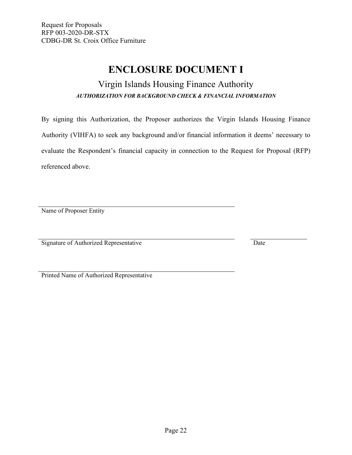# **ENCLOSURE DOCUMENT I**

# Virgin Islands Housing Finance Authority *AUTHORIZATION FOR BACKGROUND CHECK & FINANCIAL INFORMATION*

<span id="page-23-0"></span>By signing this Authorization, the Proposer authorizes the Virgin Islands Housing Finance Authority (VIHFA) to seek any background and/or financial information it deems' necessary to evaluate the Respondent's financial capacity in connection to the Request for Proposal (RFP) referenced above.

Name of Proposer Entity

Signature of Authorized Representative Date

Printed Name of Authorized Representative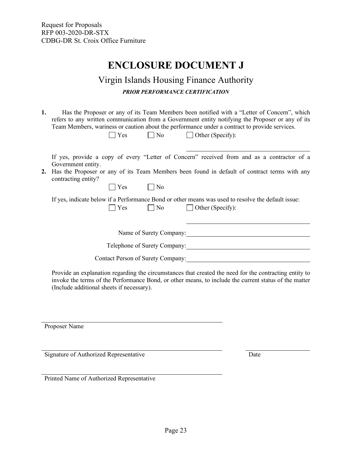# **ENCLOSURE DOCUMENT J**

# Virgin Islands Housing Finance Authority *PRIOR PERFORMANCE CERTIFICATION*

<span id="page-24-0"></span>**1.** Has the Proposer or any of its Team Members been notified with a "Letter of Concern", which refers to any written communication from a Government entity notifying the Proposer or any of its Team Members, wariness or caution about the performance under a contract to provide services.

|--|--|

 $\neg$  No  $\neg$  Other (Specify):

If yes, provide a copy of every "Letter of Concern" received from and as a contractor of a Government entity.

### **2.** Has the Proposer or any of its Team Members been found in default of contract terms with any contracting entity?

 $\bigcap$  Yes  $\bigcap$  No

If yes, indicate below if a Performance Bond or other means was used to resolve the default issue: No Other (Specify):

Name of Surety Company:

Telephone of Surety Company:

Contact Person of Surety Company:

Provide an explanation regarding the circumstances that created the need for the contracting entity to invoke the terms of the Performance Bond, or other means, to include the current status of the matter (Include additional sheets if necessary).

Proposer Name

Signature of Authorized Representative Date

Printed Name of Authorized Representative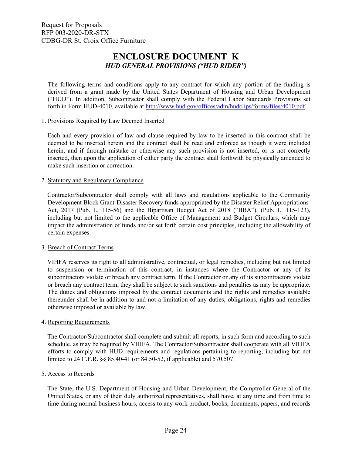## **ENCLOSURE DOCUMENT K** *HUD GENERAL PROVISIONS ("HUD RIDER")*

<span id="page-25-0"></span>The following terms and conditions apply to any contract for which any portion of the funding is derived from a grant made by the United States Department of Housing and Urban Development ("HUD"). In addition, Subcontractor shall comply with the Federal Labor Standards Provisions set forth in Form HUD-4010, available at [http://www.hud.gov/offices/adm/hudclips/forms/files/4010.pdf.](http://www.hud.gov/offices/adm/hudclips/forms/files/4010.pdf)

### 1. Provisions Required by Law Deemed Inserted

Each and every provision of law and clause required by law to be inserted in this contract shall be deemed to be inserted herein and the contract shall be read and enforced as though it were included herein, and if through mistake or otherwise any such provision is not inserted, or is not correctly inserted, then upon the application of either party the contract shall forthwith be physically amended to make such insertion or correction.

#### 2. Statutory and Regulatory Compliance

Contractor/Subcontractor shall comply with all laws and regulations applicable to the Community Development Block Grant-Disaster Recovery funds appropriated by the Disaster Relief Appropriations Act, 2017 (Pub. L. 115-56) and the Bipartisan Budget Act of 2018 ("BBA"), (Pub. L. 115-123), including but not limited to the applicable Office of Management and Budget Circulars, which may impact the administration of funds and/or set forth certain cost principles, including the allowability of certain expenses.

### 3. Breach of Contract Terms

VIHFA reserves its right to all administrative, contractual, or legal remedies, including but not limited to suspension or termination of this contract, in instances where the Contractor or any of its subcontractors violate or breach any contract term. If the Contractor or any of its subcontractors violate or breach any contract term, they shall be subject to such sanctions and penalties as may be appropriate. The duties and obligations imposed by the contract documents and the rights and remedies available thereunder shall be in addition to and not a limitation of any duties, obligations, rights and remedies otherwise imposed or available by law.

### 4. Reporting Requirements

The Contractor/Subcontractor shall complete and submit all reports, in such form and according to such schedule, as may be required by VIHFA. The Contractor/Subcontractor shall cooperate with all VIHFA efforts to comply with HUD requirements and regulations pertaining to reporting, including but not limited to 24 C.F.R. §§ 85.40-41 (or 84.50-52, if applicable) and 570.507.

### 5. Access to Records

The State, the U.S. Department of Housing and Urban Development, the Comptroller General of the United States, or any of their duly authorized representatives, shall have, at any time and from time to time during normal business hours, access to any work product, books, documents, papers, and records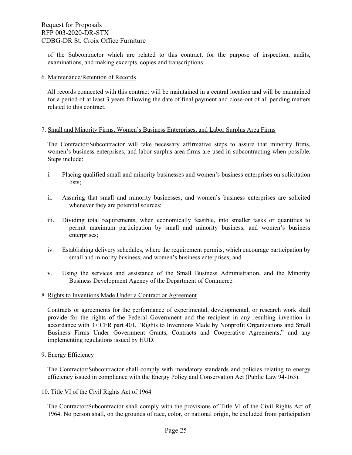of the Subcontractor which are related to this contract, for the purpose of inspection, audits, examinations, and making excerpts, copies and transcriptions.

#### 6. Maintenance/Retention of Records

All records connected with this contract will be maintained in a central location and will be maintained for a period of at least 3 years following the date of final payment and close-out of all pending matters related to this contract.

### 7. Small and Minority Firms, Women's Business Enterprises, and Labor Surplus Area Firms

The Contractor/Subcontractor will take necessary affirmative steps to assure that minority firms, women's business enterprises, and labor surplus area firms are used in subcontracting when possible. Steps include:

- i. Placing qualified small and minority businesses and women's business enterprises on solicitation lists;
- ii. Assuring that small and minority businesses, and women's business enterprises are solicited whenever they are potential sources;
- iii. Dividing total requirements, when economically feasible, into smaller tasks or quantities to permit maximum participation by small and minority business, and women's business enterprises;
- iv. Establishing delivery schedules, where the requirement permits, which encourage participation by small and minority business, and women's business enterprises; and
- v. Using the services and assistance of the Small Business Administration, and the Minority Business Development Agency of the Department of Commerce.

### 8. Rights to Inventions Made Under a Contract or Agreement

Contracts or agreements for the performance of experimental, developmental, or research work shall provide for the rights of the Federal Government and the recipient in any resulting invention in accordance with 37 CFR part 401, "Rights to Inventions Made by Nonprofit Organizations and Small Business Firms Under Government Grants, Contracts and Cooperative Agreements," and any implementing regulations issued by HUD.

### 9. Energy Efficiency

The Contractor/Subcontractor shall comply with mandatory standards and policies relating to energy efficiency issued in compliance with the Energy Policy and Conservation Act (Public Law 94-163).

### 10. Title VI of the Civil Rights Act of 1964

The Contractor/Subcontractor shall comply with the provisions of Title VI of the Civil Rights Act of 1964. No person shall, on the grounds of race, color, or national origin, be excluded from participation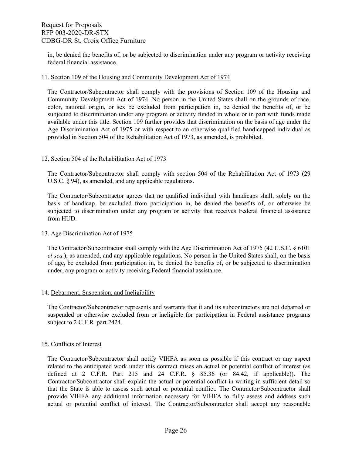in, be denied the benefits of, or be subjected to discrimination under any program or activity receiving federal financial assistance.

#### 11. Section 109 of the Housing and Community Development Act of 1974

The Contractor/Subcontractor shall comply with the provisions of Section 109 of the Housing and Community Development Act of 1974. No person in the United States shall on the grounds of race, color, national origin, or sex be excluded from participation in, be denied the benefits of, or be subjected to discrimination under any program or activity funded in whole or in part with funds made available under this title. Section 109 further provides that discrimination on the basis of age under the Age Discrimination Act of 1975 or with respect to an otherwise qualified handicapped individual as provided in Section 504 of the Rehabilitation Act of 1973, as amended, is prohibited.

#### 12. Section 504 of the Rehabilitation Act of 1973

The Contractor/Subcontractor shall comply with section 504 of the Rehabilitation Act of 1973 (29 U.S.C. § 94), as amended, and any applicable regulations.

The Contractor/Subcontractor agrees that no qualified individual with handicaps shall, solely on the basis of handicap, be excluded from participation in, be denied the benefits of, or otherwise be subjected to discrimination under any program or activity that receives Federal financial assistance from HUD.

### 13. Age Discrimination Act of 1975

The Contractor/Subcontractor shall comply with the Age Discrimination Act of 1975 (42 U.S.C. § 6101 *et seq.*), as amended, and any applicable regulations. No person in the United States shall, on the basis of age, be excluded from participation in, be denied the benefits of, or be subjected to discrimination under, any program or activity receiving Federal financial assistance.

### 14. Debarment, Suspension, and Ineligibility

The Contractor/Subcontractor represents and warrants that it and its subcontractors are not debarred or suspended or otherwise excluded from or ineligible for participation in Federal assistance programs subject to 2 C.F.R. part 2424.

### 15. Conflicts of Interest

The Contractor/Subcontractor shall notify VIHFA as soon as possible if this contract or any aspect related to the anticipated work under this contract raises an actual or potential conflict of interest (as defined at 2 C.F.R. Part 215 and 24 C.F.R. § 85.36 (or 84.42, if applicable)). The Contractor/Subcontractor shall explain the actual or potential conflict in writing in sufficient detail so that the State is able to assess such actual or potential conflict. The Contractor/Subcontractor shall provide VIHFA any additional information necessary for VIHFA to fully assess and address such actual or potential conflict of interest. The Contractor/Subcontractor shall accept any reasonable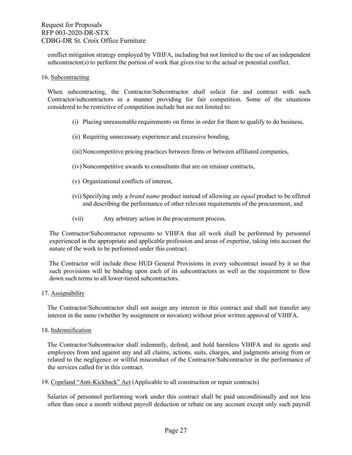conflict mitigation strategy employed by VIHFA, including but not limited to the use of an independent subcontractor(s) to perform the portion of work that gives rise to the actual or potential conflict.

#### 16. Subcontracting

When subcontracting, the Contractor/Subcontractor shall solicit for and contract with such Contractor/subcontractors in a manner providing for fair competition. Some of the situations considered to be restrictive of competition include but are not limited to:

- (i) Placing unreasonable requirements on firms in order for them to qualify to do business,
- (ii) Requiring unnecessary experience and excessive bonding,
- (iii)Noncompetitive pricing practices between firms or between affiliated companies,
- (iv) Noncompetitive awards to consultants that are on retainer contracts,
- (v) Organizational conflicts of interest,
- (vi) Specifying only a *brand name* product instead of allowing *an equal* product to be offered and describing the performance of other relevant requirements of the procurement, and
- (vii) Any arbitrary action in the procurement process.

The Contractor/Subcontractor represents to VIHFA that all work shall be performed by personnel experienced in the appropriate and applicable profession and areas of expertise, taking into account the nature of the work to be performed under this contract.

The Contractor will include these HUD General Provisions in every subcontract issued by it so that such provisions will be binding upon each of its subcontractors as well as the requirement to flow down such terms to all lower-tiered subcontractors.

### 17. Assignability

The Contractor/Subcontractor shall not assign any interest in this contract and shall not transfer any interest in the same (whether by assignment or novation) without prior written approval of VIHFA.

18. Indemnification

The Contractor/Subcontractor shall indemnify, defend, and hold harmless VIHFA and its agents and employees from and against any and all claims, actions, suits, charges, and judgments arising from or related to the negligence or willful misconduct of the Contractor/Subcontractor in the performance of the services called for in this contract.

19. Copeland "Anti-Kickback" Act (Applicable to all construction or repair contracts)

Salaries of personnel performing work under this contract shall be paid unconditionally and not less often than once a month without payroll deduction or rebate on any account except only such payroll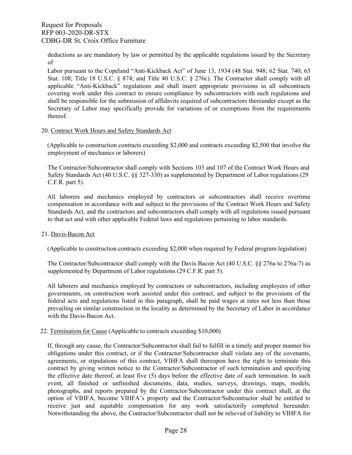deductions as are mandatory by law or permitted by the applicable regulations issued by the Secretary of

Labor pursuant to the Copeland "Anti-Kickback Act" of June 13, 1934 (48 Stat. 948; 62 Stat. 740; 63 Stat. 108; Title 18 U.S.C. § 874; and Title 40 U.S.C. § 276c). The Contractor shall comply with all applicable "Anti-Kickback" regulations and shall insert appropriate provisions in all subcontracts covering work under this contract to ensure compliance by subcontractors with such regulations and shall be responsible for the submission of affidavits required of subcontractors thereunder except as the Secretary of Labor may specifically provide for variations of or exemptions from the requirements thereof.

### 20. Contract Work Hours and Safety Standards Act

(Applicable to construction contracts exceeding \$2,000 and contracts exceeding \$2,500 that involve the employment of mechanics or laborers)

The Contractor/Subcontractor shall comply with Sections 103 and 107 of the Contract Work Hours and Safety Standards Act (40 U.S.C. §§ 327-330) as supplemented by Department of Labor regulations (29 C.F.R. part 5).

All laborers and mechanics employed by contractors or subcontractors shall receive overtime compensation in accordance with and subject to the provisions of the Contract Work Hours and Safety Standards Act, and the contractors and subcontractors shall comply with all regulations issued pursuant to that act and with other applicable Federal laws and regulations pertaining to labor standards.

### 21. Davis-Bacon Act

(Applicable to construction contracts exceeding \$2,000 when required by Federal program legislation)

The Contractor/Subcontractor shall comply with the Davis Bacon Act (40 U.S.C. §§ 276a to 276a-7) as supplemented by Department of Labor regulations (29 C.F.R. part 5).

All laborers and mechanics employed by contractors or subcontractors, including employees of other governments, on construction work assisted under this contract, and subject to the provisions of the federal acts and regulations listed in this paragraph, shall be paid wages at rates not less than those prevailing on similar construction in the locality as determined by the Secretary of Labor in accordance with the Davis-Bacon Act.

### 22. Termination for Cause (Applicable to contracts exceeding \$10,000)

If, through any cause, the Contractor/Subcontractor shall fail to fulfill in a timely and proper manner his obligations under this contract, or if the Contractor/Subcontractor shall violate any of the covenants, agreements, or stipulations of this contract, VIHFA shall thereupon have the right to terminate this contract by giving written notice to the Contractor/Subcontractor of such termination and specifying the effective date thereof, at least five (5) days before the effective date of such termination. In such event, all finished or unfinished documents, data, studies, surveys, drawings, maps, models, photographs, and reports prepared by the Contractor/Subcontractor under this contract shall, at the option of VIHFA, become VIHFA's property and the Contractor/Subcontractor shall be entitled to receive just and equitable compensation for any work satisfactorily completed hereunder. Notwithstanding the above, the Contractor/Subcontractor shall not be relieved of liability to VIHFA for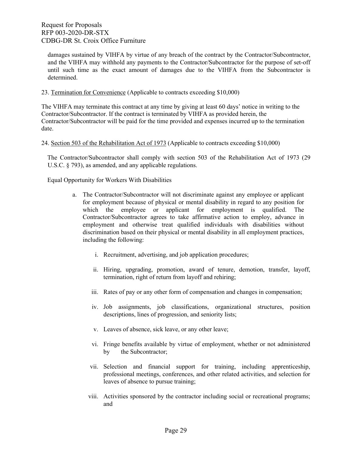damages sustained by VIHFA by virtue of any breach of the contract by the Contractor/Subcontractor, and the VIHFA may withhold any payments to the Contractor/Subcontractor for the purpose of set-off until such time as the exact amount of damages due to the VIHFA from the Subcontractor is determined.

#### 23. Termination for Convenience (Applicable to contracts exceeding \$10,000)

The VIHFA may terminate this contract at any time by giving at least 60 days' notice in writing to the Contractor/Subcontractor. If the contract is terminated by VIHFA as provided herein, the Contractor/Subcontractor will be paid for the time provided and expenses incurred up to the termination date.

### 24. Section 503 of the Rehabilitation Act of 1973 (Applicable to contracts exceeding \$10,000)

The Contractor/Subcontractor shall comply with section 503 of the Rehabilitation Act of 1973 (29 U.S.C. § 793), as amended, and any applicable regulations.

Equal Opportunity for Workers With Disabilities

- a. The Contractor/Subcontractor will not discriminate against any employee or applicant for employment because of physical or mental disability in regard to any position for which the employee or applicant for employment is qualified. The Contractor/Subcontractor agrees to take affirmative action to employ, advance in employment and otherwise treat qualified individuals with disabilities without discrimination based on their physical or mental disability in all employment practices, including the following:
	- i. Recruitment, advertising, and job application procedures;
	- ii. Hiring, upgrading, promotion, award of tenure, demotion, transfer, layoff, termination, right of return from layoff and rehiring;
	- iii. Rates of pay or any other form of compensation and changes in compensation;
	- iv. Job assignments, job classifications, organizational structures, position descriptions, lines of progression, and seniority lists;
	- v. Leaves of absence, sick leave, or any other leave;
	- vi. Fringe benefits available by virtue of employment, whether or not administered by the Subcontractor;
	- vii. Selection and financial support for training, including apprenticeship, professional meetings, conferences, and other related activities, and selection for leaves of absence to pursue training;
	- viii. Activities sponsored by the contractor including social or recreational programs; and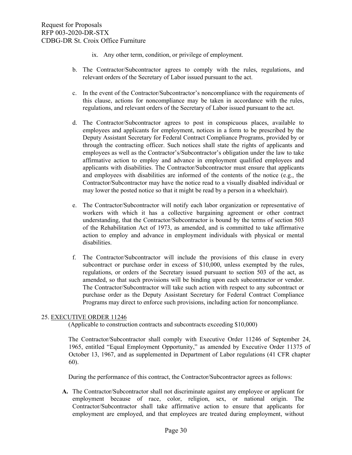- ix. Any other term, condition, or privilege of employment.
- b. The Contractor/Subcontractor agrees to comply with the rules, regulations, and relevant orders of the Secretary of Labor issued pursuant to the act.
- c. In the event of the Contractor/Subcontractor's noncompliance with the requirements of this clause, actions for noncompliance may be taken in accordance with the rules, regulations, and relevant orders of the Secretary of Labor issued pursuant to the act.
- d. The Contractor/Subcontractor agrees to post in conspicuous places, available to employees and applicants for employment, notices in a form to be prescribed by the Deputy Assistant Secretary for Federal Contract Compliance Programs, provided by or through the contracting officer. Such notices shall state the rights of applicants and employees as well as the Contractor's/Subcontractor's obligation under the law to take affirmative action to employ and advance in employment qualified employees and applicants with disabilities. The Contractor/Subcontractor must ensure that applicants and employees with disabilities are informed of the contents of the notice (e.g., the Contractor/Subcontractor may have the notice read to a visually disabled individual or may lower the posted notice so that it might be read by a person in a wheelchair).
- e. The Contractor/Subcontractor will notify each labor organization or representative of workers with which it has a collective bargaining agreement or other contract understanding, that the Contractor/Subcontractor is bound by the terms of section 503 of the Rehabilitation Act of 1973, as amended, and is committed to take affirmative action to employ and advance in employment individuals with physical or mental disabilities.
- f. The Contractor/Subcontractor will include the provisions of this clause in every subcontract or purchase order in excess of \$10,000, unless exempted by the rules, regulations, or orders of the Secretary issued pursuant to section 503 of the act, as amended, so that such provisions will be binding upon each subcontractor or vendor. The Contractor/Subcontractor will take such action with respect to any subcontract or purchase order as the Deputy Assistant Secretary for Federal Contract Compliance Programs may direct to enforce such provisions, including action for noncompliance.

### 25. EXECUTIVE ORDER 11246

(Applicable to construction contracts and subcontracts exceeding \$10,000)

The Contractor/Subcontractor shall comply with Executive Order 11246 of September 24, 1965, entitled "Equal Employment Opportunity," as amended by Executive Order 11375 of October 13, 1967, and as supplemented in Department of Labor regulations (41 CFR chapter 60).

During the performance of this contract, the Contractor/Subcontractor agrees as follows:

**A.** The Contractor/Subcontractor shall not discriminate against any employee or applicant for employment because of race, color, religion, sex, or national origin. The Contractor/Subcontractor shall take affirmative action to ensure that applicants for employment are employed, and that employees are treated during employment, without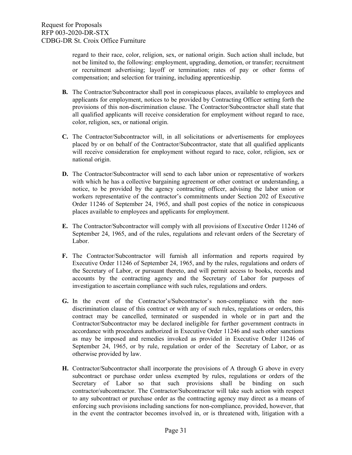regard to their race, color, religion, sex, or national origin. Such action shall include, but not be limited to, the following: employment, upgrading, demotion, or transfer; recruitment or recruitment advertising; layoff or termination; rates of pay or other forms of compensation; and selection for training, including apprenticeship.

- **B.** The Contractor/Subcontractor shall post in conspicuous places, available to employees and applicants for employment, notices to be provided by Contracting Officer setting forth the provisions of this non-discrimination clause. The Contractor/Subcontractor shall state that all qualified applicants will receive consideration for employment without regard to race, color, religion, sex, or national origin.
- **C.** The Contractor/Subcontractor will, in all solicitations or advertisements for employees placed by or on behalf of the Contractor/Subcontractor, state that all qualified applicants will receive consideration for employment without regard to race, color, religion, sex or national origin.
- **D.** The Contractor/Subcontractor will send to each labor union or representative of workers with which he has a collective bargaining agreement or other contract or understanding, a notice, to be provided by the agency contracting officer, advising the labor union or workers representative of the contractor's commitments under Section 202 of Executive Order 11246 of September 24, 1965, and shall post copies of the notice in conspicuous places available to employees and applicants for employment.
- **E.** The Contractor/Subcontractor will comply with all provisions of Executive Order 11246 of September 24, 1965, and of the rules, regulations and relevant orders of the Secretary of Labor.
- **F.** The Contractor/Subcontractor will furnish all information and reports required by Executive Order 11246 of September 24, 1965, and by the rules, regulations and orders of the Secretary of Labor, or pursuant thereto, and will permit access to books, records and accounts by the contracting agency and the Secretary of Labor for purposes of investigation to ascertain compliance with such rules, regulations and orders.
- **G.** In the event of the Contractor's/Subcontractor's non-compliance with the nondiscrimination clause of this contract or with any of such rules, regulations or orders, this contract may be cancelled, terminated or suspended in whole or in part and the Contractor/Subcontractor may be declared ineligible for further government contracts in accordance with procedures authorized in Executive Order 11246 and such other sanctions as may be imposed and remedies invoked as provided in Executive Order 11246 of September 24, 1965, or by rule, regulation or order of the Secretary of Labor, or as otherwise provided by law.
- **H.** Contractor/Subcontractor shall incorporate the provisions of A through G above in every subcontract or purchase order unless exempted by rules, regulations or orders of the Secretary of Labor so that such provisions shall be binding on such contractor/subcontractor. The Contractor/Subcontractor will take such action with respect to any subcontract or purchase order as the contracting agency may direct as a means of enforcing such provisions including sanctions for non-compliance, provided, however, that in the event the contractor becomes involved in, or is threatened with, litigation with a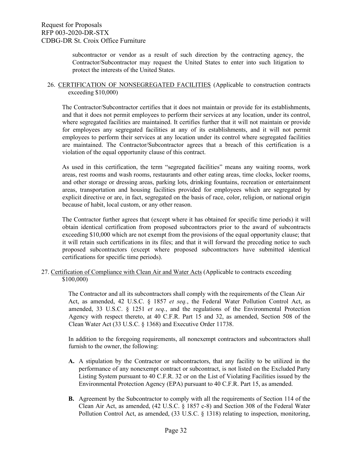subcontractor or vendor as a result of such direction by the contracting agency, the Contractor/Subcontractor may request the United States to enter into such litigation to protect the interests of the United States.

### 26. CERTIFICATION OF NONSEGREGATED FACILITIES (Applicable to construction contracts exceeding \$10,000)

The Contractor/Subcontractor certifies that it does not maintain or provide for its establishments, and that it does not permit employees to perform their services at any location, under its control, where segregated facilities are maintained. It certifies further that it will not maintain or provide for employees any segregated facilities at any of its establishments, and it will not permit employees to perform their services at any location under its control where segregated facilities are maintained. The Contractor/Subcontractor agrees that a breach of this certification is a violation of the equal opportunity clause of this contract.

As used in this certification, the term "segregated facilities" means any waiting rooms, work areas, rest rooms and wash rooms, restaurants and other eating areas, time clocks, locker rooms, and other storage or dressing areas, parking lots, drinking fountains, recreation or entertainment areas, transportation and housing facilities provided for employees which are segregated by explicit directive or are, in fact, segregated on the basis of race, color, religion, or national origin because of habit, local custom, or any other reason.

The Contractor further agrees that (except where it has obtained for specific time periods) it will obtain identical certification from proposed subcontractors prior to the award of subcontracts exceeding \$10,000 which are not exempt from the provisions of the equal opportunity clause; that it will retain such certifications in its files; and that it will forward the preceding notice to such proposed subcontractors (except where proposed subcontractors have submitted identical certifications for specific time periods).

27. Certification of Compliance with Clean Air and Water Acts (Applicable to contracts exceeding \$100,000)

> The Contractor and all its subcontractors shall comply with the requirements of the Clean Air Act, as amended, 42 U.S.C. § 1857 *et seq.*, the Federal Water Pollution Control Act, as amended, 33 U.S.C. § 1251 *et seq.*, and the regulations of the Environmental Protection Agency with respect thereto, at 40 C.F.R. Part 15 and 32, as amended, Section 508 of the Clean Water Act (33 U.S.C. § 1368) and Executive Order 11738.

> In addition to the foregoing requirements, all nonexempt contractors and subcontractors shall furnish to the owner, the following:

- **A.** A stipulation by the Contractor or subcontractors, that any facility to be utilized in the performance of any nonexempt contract or subcontract, is not listed on the Excluded Party Listing System pursuant to 40 C.F.R. 32 or on the List of Violating Facilities issued by the Environmental Protection Agency (EPA) pursuant to 40 C.F.R. Part 15, as amended.
- **B.** Agreement by the Subcontractor to comply with all the requirements of Section 114 of the Clean Air Act, as amended, (42 U.S.C. § 1857 c-8) and Section 308 of the Federal Water Pollution Control Act, as amended, (33 U.S.C. § 1318) relating to inspection, monitoring,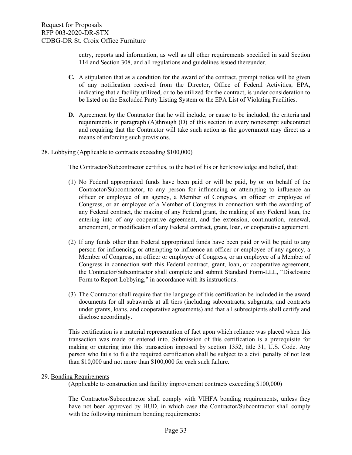entry, reports and information, as well as all other requirements specified in said Section 114 and Section 308, and all regulations and guidelines issued thereunder.

- **C.** A stipulation that as a condition for the award of the contract, prompt notice will be given of any notification received from the Director, Office of Federal Activities, EPA, indicating that a facility utilized, or to be utilized for the contract, is under consideration to be listed on the Excluded Party Listing System or the EPA List of Violating Facilities.
- **D.** Agreement by the Contractor that he will include, or cause to be included, the criteria and requirements in paragraph (A)through (D) of this section in every nonexempt subcontract and requiring that the Contractor will take such action as the government may direct as a means of enforcing such provisions.
- 28. Lobbying (Applicable to contracts exceeding \$100,000)

The Contractor/Subcontractor certifies, to the best of his or her knowledge and belief, that:

- (1) No Federal appropriated funds have been paid or will be paid, by or on behalf of the Contractor/Subcontractor, to any person for influencing or attempting to influence an officer or employee of an agency, a Member of Congress, an officer or employee of Congress, or an employee of a Member of Congress in connection with the awarding of any Federal contract, the making of any Federal grant, the making of any Federal loan, the entering into of any cooperative agreement, and the extension, continuation, renewal, amendment, or modification of any Federal contract, grant, loan, or cooperative agreement.
- (2) If any funds other than Federal appropriated funds have been paid or will be paid to any person for influencing or attempting to influence an officer or employee of any agency, a Member of Congress, an officer or employee of Congress, or an employee of a Member of Congress in connection with this Federal contract, grant, loan, or cooperative agreement, the Contractor/Subcontractor shall complete and submit Standard Form-LLL, "Disclosure Form to Report Lobbying," in accordance with its instructions.
- (3) The Contractor shall require that the language of this certification be included in the award documents for all subawards at all tiers (including subcontracts, subgrants, and contracts under grants, loans, and cooperative agreements) and that all subrecipients shall certify and disclose accordingly.

This certification is a material representation of fact upon which reliance was placed when this transaction was made or entered into. Submission of this certification is a prerequisite for making or entering into this transaction imposed by section 1352, title 31, U.S. Code. Any person who fails to file the required certification shall be subject to a civil penalty of not less than \$10,000 and not more than \$100,000 for each such failure.

### 29. Bonding Requirements

(Applicable to construction and facility improvement contracts exceeding \$100,000)

The Contractor/Subcontractor shall comply with VIHFA bonding requirements, unless they have not been approved by HUD, in which case the Contractor/Subcontractor shall comply with the following minimum bonding requirements: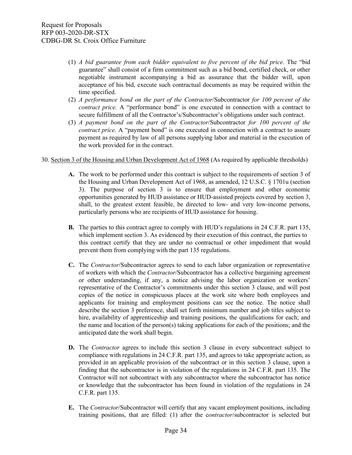- (1) *A bid guarantee from each bidder equivalent to five percent of the bid price.* The "bid guarantee" shall consist of a firm commitment such as a bid bond, certified check, or other negotiable instrument accompanying a bid as assurance that the bidder will, upon acceptance of his bid, execute such contractual documents as may be required within the time specified.
- (2) *A performance bond on the part of the Contractor*/Subcontractor *for 100 percent of the contract price.* A "performance bond" is one executed in connection with a contract to secure fulfillment of all the Contractor's/Subcontractor's obligations under such contract.
- (3) *A payment bond on the part of the Contractor*/Subcontractor *for 100 percent of the contract price.* A "payment bond" is one executed in connection with a contract to assure payment as required by law of all persons supplying labor and material in the execution of the work provided for in the contract.
- 30. Section 3 of the Housing and Urban Development Act of 1968 (As required by applicable thresholds)
	- **A.** The work to be performed under this contract is subject to the requirements of section 3 of the Housing and Urban Development Act of 1968, as amended, 12 U.S.C. § 1701u (section 3). The purpose of section 3 is to ensure that employment and other economic opportunities generated by HUD assistance or HUD-assisted projects covered by section 3, shall, to the greatest extent feasible, be directed to low- and very low-income persons, particularly persons who are recipients of HUD assistance for housing.
	- **B.** The parties to this contract agree to comply with HUD's regulations in 24 C.F.R. part 135, which implement section 3. As evidenced by their execution of this contract, the parties to this contract certify that they are under no contractual or other impediment that would prevent them from complying with the part 135 regulations.
	- **C.** The *Contractor*/Subcontractor agrees to send to each labor organization or representative of workers with which the *Contractor*/Subcontractor has a collective bargaining agreement or other understanding, if any, a notice advising the labor organization or workers' representative of the Contractor's commitments under this section 3 clause, and will post copies of the notice in conspicuous places at the work site where both employees and applicants for training and employment positions can see the notice. The notice shall describe the section 3 preference, shall set forth minimum number and job titles subject to hire, availability of apprenticeship and training positions, the qualifications for each; and the name and location of the person(s) taking applications for each of the positions; and the anticipated date the work shall begin.
	- **D.** The *Contractor* agrees to include this section 3 clause in every subcontract subject to compliance with regulations in 24 C.F.R. part 135, and agrees to take appropriate action, as provided in an applicable provision of the subcontract or in this section 3 clause, upon a finding that the subcontractor is in violation of the regulations in 24 C.F.R. part 135. The Contractor will not subcontract with any subcontractor where the subcontractor has notice or knowledge that the subcontractor has been found in violation of the regulations in 24 C.F.R. part 135.
	- **E.** The *Contractor*/Subcontractor will certify that any vacant employment positions, including training positions, that are filled: (1) after the c*ontractor*/subcontractor is selected but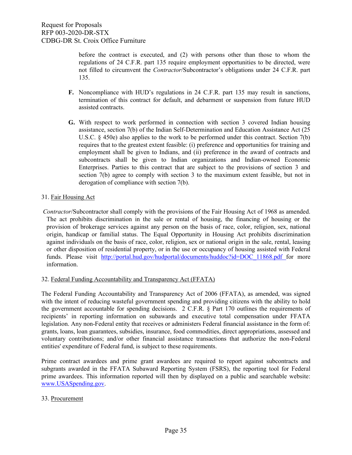before the contract is executed, and (2) with persons other than those to whom the regulations of 24 C.F.R. part 135 require employment opportunities to be directed, were not filled to circumvent the *Contractor*/Subcontractor's obligations under 24 C.F.R. part 135.

- **F.** Noncompliance with HUD's regulations in 24 C.F.R. part 135 may result in sanctions, termination of this contract for default, and debarment or suspension from future HUD assisted contracts.
- **G.** With respect to work performed in connection with section 3 covered Indian housing assistance, section 7(b) of the Indian Self-Determination and Education Assistance Act (25 U.S.C. § 450e) also applies to the work to be performed under this contract. Section 7(b) requires that to the greatest extent feasible: (i) preference and opportunities for training and employment shall be given to Indians, and (ii) preference in the award of contracts and subcontracts shall be given to Indian organizations and Indian-owned Economic Enterprises. Parties to this contract that are subject to the provisions of section 3 and section 7(b) agree to comply with section 3 to the maximum extent feasible, but not in derogation of compliance with section 7(b).

### 31. Fair Housing Act

*Contractor*/Subcontractor shall comply with the provisions of the Fair Housing Act of 1968 as amended. The act prohibits discrimination in the sale or rental of housing, the financing of housing or the provision of brokerage services against any person on the basis of race, color, religion, sex, national origin, handicap or familial status. The Equal Opportunity in Housing Act prohibits discrimination against individuals on the basis of race, color, religion, sex or national origin in the sale, rental, leasing or other disposition of residential property, or in the use or occupancy of housing assisted with Federal [f](http://portal.hud.gov/hudportal/documents/huddoc?id=DOC_11868.pdf%20)unds. Please visit http://portal.hud.gov/hudportal/documents/huddoc?id=DOC 11868.pdf for more information.

### 32. Federal Funding Accountability and Transparency Act (FFATA)

The Federal Funding Accountability and Transparency Act of 2006 (FFATA), as amended, was signed with the intent of reducing wasteful government spending and providing citizens with the ability to hold the government accountable for spending decisions. 2 C.F.R. § Part 170 outlines the requirements of recipients' in reporting information on subawards and executive total compensation under FFATA legislation. Any non-Federal entity that receives or administers Federal financial assistance in the form of: grants, loans, loan guarantees, subsidies, insurance, food commodities, direct appropriations, assessed and voluntary contributions; and/or other financial assistance transactions that authorize the non-Federal entities' expenditure of Federal fund, is subject to these requirements.

Prime contract awardees and prime grant awardees are required to report against subcontracts and subgrants awarded in the FFATA Subaward Reporting System (FSRS), the reporting tool for Federal prime awardees. This information reported will then by displayed on a public and searchable website: [www.USASpending.gov.](http://www.usaspending.gov/)

### 33. Procurement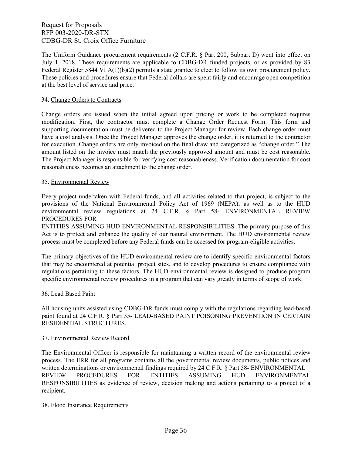The Uniform Guidance procurement requirements (2 C.F.R. § Part 200, Subpart D) went into effect on July 1, 2018. These requirements are applicable to CDBG-DR funded projects, or as provided by 83 Federal Register 5844 VI  $A(1)(b)(2)$  permits a state grantee to elect to follow its own procurement policy. These policies and procedures ensure that Federal dollars are spent fairly and encourage open competition at the best level of service and price.

### 34. Change Orders to Contracts

Change orders are issued when the initial agreed upon pricing or work to be completed requires modification. First, the contractor must complete a Change Order Request Form. This form and supporting documentation must be delivered to the Project Manager for review. Each change order must have a cost analysis. Once the Project Manager approves the change order, it is returned to the contractor for execution. Change orders are only invoiced on the final draw and categorized as "change order." The amount listed on the invoice must match the previously approved amount and must be cost reasonable. The Project Manager is responsible for verifying cost reasonableness. Verification documentation for cost reasonableness becomes an attachment to the change order.

### 35. Environmental Review

Every project undertaken with Federal funds, and all activities related to that project, is subject to the provisions of the National Environmental Policy Act of 1969 (NEPA), as well as to the HUD environmental review regulations at 24 C.F.R. § Part 58- ENVIRONMENTAL REVIEW PROCEDURES FOR

ENTITIES ASSUMING HUD ENVIRONMENTAL RESPONSIBILITIES. The primary purpose of this Act is to protect and enhance the quality of our natural environment. The HUD environmental review process must be completed before any Federal funds can be accessed for program‐eligible activities.

The primary objectives of the HUD environmental review are to identify specific environmental factors that may be encountered at potential project sites, and to develop procedures to ensure compliance with regulations pertaining to these factors. The HUD environmental review is designed to produce program specific environmental review procedures in a program that can vary greatly in terms of scope of work.

### 36. Lead Based Paint

All housing units assisted using CDBG-DR funds must comply with the regulations regarding lead-based paint found at 24 C.F.R. § Part 35- LEAD-BASED PAINT POISONING PREVENTION IN CERTAIN RESIDENTIAL STRUCTURES.

### 37. Environmental Review Record

The Environmental Officer is responsible for maintaining a written record of the environmental review process. The ERR for all programs contains all the governmental review documents, public notices and written determinations or environmental findings required by 24 C.F.R. § Part 58- ENVIRONMENTAL REVIEW PROCEDURES FOR ENTITIES ASSUMING HUD ENVIRONMENTAL RESPONSIBILITIES as evidence of review, decision making and actions pertaining to a project of a recipient.

### 38. Flood Insurance Requirements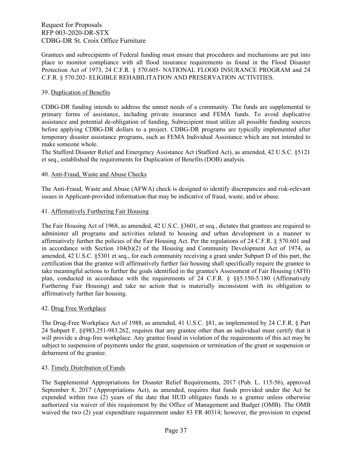Grantees and subrecipients of Federal funding must ensure that procedures and mechanisms are put into place to monitor compliance with all flood insurance requirements as found in the Flood Disaster Protection Act of 1973, 24 C.F.R. § 570.605- NATIONAL FLOOD INSURANCE PROGRAM and 24 C.F.R. § 570.202- ELIGIBLE REHABILITATION AND PRESERVATION ACTIVITIES.

### 39. Duplication of Benefits

CDBG-DR funding intends to address the unmet needs of a community. The funds are supplemental to primary forms of assistance, including private insurance and FEMA funds. To avoid duplicative assistance and potential de-obligation of funding, Subrecipient must utilize all possible funding sources before applying CDBG-DR dollars to a project. CDBG-DR programs are typically implemented after temporary disaster assistance programs, such as FEMA Individual Assistance which are not intended to make someone whole.

The Stafford Disaster Relief and Emergency Assistance Act (Stafford Act), as amended, 42 U.S.C. §5121 et seq., established the requirements for Duplication of Benefits (DOB) analysis.

### 40. Anti-Fraud, Waste and Abuse Checks

The Anti-Fraud, Waste and Abuse (AFWA) check is designed to identify discrepancies and risk-relevant issues in Applicant-provided information that may be indicative of fraud, waste, and/or abuse.

### 41. Affirmatively Furthering Fair Housing

The Fair Housing Act of 1968, as amended, 42 U.S.C. §3601, et seq., dictates that grantees are required to administer all programs and activities related to housing and urban development in a manner to affirmatively further the policies of the Fair Housing Act. Per the regulations of 24 C.F.R. § 570.601 and in accordance with Section 104(b)(2) of the Housing and Community Development Act of 1974, as amended, 42 U.S.C. §5301 et seq., for each community receiving a grant under Subpart D of this part, the certification that the grantee will affirmatively further fair housing shall specifically require the grantee to take meaningful actions to further the goals identified in the grantee's Assessment of Fair Housing (AFH) plan, conducted in accordance with the requirements of 24 C.F.R. § §§5.150-5.180 (Affirmatively Furthering Fair Housing) and take no action that is materially inconsistent with its obligation to affirmatively further fair housing.

### 42. Drug Free Workplace

The Drug-Free Workplace Act of 1988, as amended, 41 U.S.C. §81, as implemented by 24 C.F.R. § Part 24 Subpart F, §§983.251-983.262, requires that any grantee other than an individual must certify that it will provide a drug-free workplace. Any grantee found in violation of the requirements of this act may be subject to suspension of payments under the grant, suspension or termination of the grant or suspension or debarment of the grantee.

### 43. Timely Distribution of Funds

The Supplemental Appropriations for Disaster Relief Requirements, 2017 (Pub. L. 115-56), approved September 8, 2017 (Appropriations Act), as amended, requires that funds provided under the Act be expended within two (2) years of the date that HUD obligates funds to a grantee unless otherwise authorized via waiver of this requirement by the Office of Management and Budget (OMB). The OMB waived the two (2) year expenditure requirement under 83 FR 40314; however, the provision to expend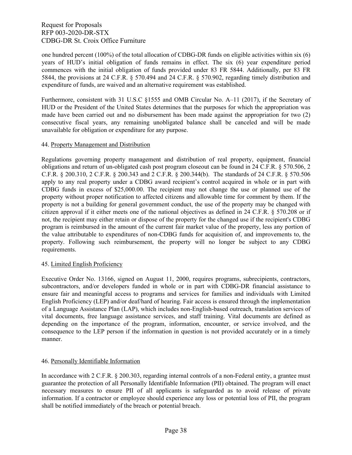one hundred percent (100%) of the total allocation of CDBG-DR funds on eligible activities within six (6) years of HUD's initial obligation of funds remains in effect. The six (6) year expenditure period commences with the initial obligation of funds provided under 83 FR 5844. Additionally, per 83 FR 5844, the provisions at 24 C.F.R. § 570.494 and 24 C.F.R. § 570.902, regarding timely distribution and expenditure of funds, are waived and an alternative requirement was established.

Furthermore, consistent with 31 U.S.C §1555 and OMB Circular No. A–11 (2017), if the Secretary of HUD or the President of the United States determines that the purposes for which the appropriation was made have been carried out and no disbursement has been made against the appropriation for two (2) consecutive fiscal years, any remaining unobligated balance shall be canceled and will be made unavailable for obligation or expenditure for any purpose.

### 44. Property Management and Distribution

Regulations governing property management and distribution of real property, equipment, financial obligations and return of un-obligated cash post program closeout can be found in 24 C.F.R. § 570.506, 2 C.F.R. § 200.310, 2 C.F.R. § 200.343 and 2 C.F.R. § 200.344(b). The standards of 24 C.F.R. § 570.506 apply to any real property under a CDBG award recipient's control acquired in whole or in part with CDBG funds in excess of \$25,000.00. The recipient may not change the use or planned use of the property without proper notification to affected citizens and allowable time for comment by them. If the property is not a building for general government conduct, the use of the property may be changed with citizen approval if it either meets one of the national objectives as defined in 24 C.F.R. § 570.208 or if not, the recipient may either retain or dispose of the property for the changed use if the recipient's CDBG program is reimbursed in the amount of the current fair market value of the property, less any portion of the value attributable to expenditures of non-CDBG funds for acquisition of, and improvements to, the property. Following such reimbursement, the property will no longer be subject to any CDBG requirements.

### 45. Limited English Proficiency

Executive Order No. 13166, signed on August 11, 2000, requires programs, subrecipients, contractors, subcontractors, and/or developers funded in whole or in part with CDBG-DR financial assistance to ensure fair and meaningful access to programs and services for families and individuals with Limited English Proficiency (LEP) and/or deaf/hard of hearing. Fair access is ensured through the implementation of a Language Assistance Plan (LAP), which includes non-English-based outreach, translation services of vital documents, free language assistance services, and staff training. Vital documents are defined as depending on the importance of the program, information, encounter, or service involved, and the consequence to the LEP person if the information in question is not provided accurately or in a timely manner.

### 46. Personally Identifiable Information

In accordance with 2 C.F.R. § 200.303, regarding internal controls of a non-Federal entity, a grantee must guarantee the protection of all Personally Identifiable Information (PII) obtained. The program will enact necessary measures to ensure PII of all applicants is safeguarded as to avoid release of private information. If a contractor or employee should experience any loss or potential loss of PII, the program shall be notified immediately of the breach or potential breach.